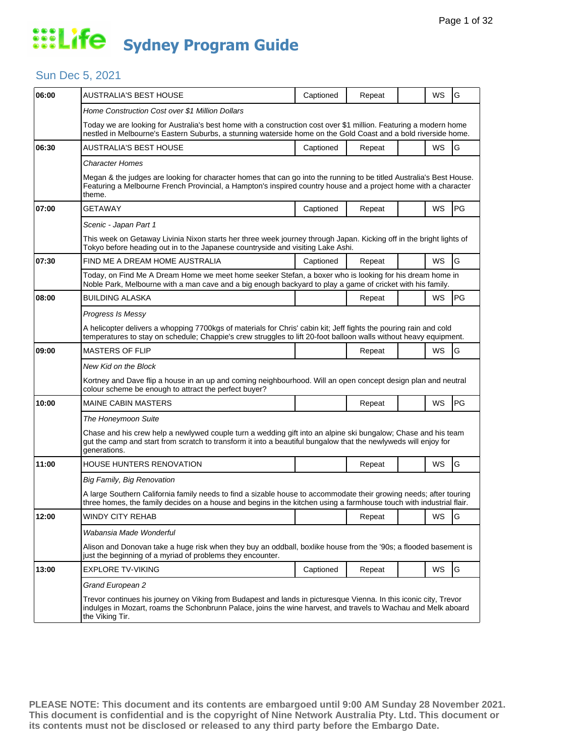#### Sun Dec 5, 2021

| AUSTRALIA'S BEST HOUSE                                                                                                                                                                                                                 | Captioned | Repeat |  | WS        | G                                                                                                                                                                                                                                                                                                                                                                                                                                                                                                                                                                                                                                                                                                                                                                                                                                            |  |  |
|----------------------------------------------------------------------------------------------------------------------------------------------------------------------------------------------------------------------------------------|-----------|--------|--|-----------|----------------------------------------------------------------------------------------------------------------------------------------------------------------------------------------------------------------------------------------------------------------------------------------------------------------------------------------------------------------------------------------------------------------------------------------------------------------------------------------------------------------------------------------------------------------------------------------------------------------------------------------------------------------------------------------------------------------------------------------------------------------------------------------------------------------------------------------------|--|--|
| Home Construction Cost over \$1 Million Dollars                                                                                                                                                                                        |           |        |  |           |                                                                                                                                                                                                                                                                                                                                                                                                                                                                                                                                                                                                                                                                                                                                                                                                                                              |  |  |
| Today we are looking for Australia's best home with a construction cost over \$1 million. Featuring a modern home<br>nestled in Melbourne's Eastern Suburbs, a stunning waterside home on the Gold Coast and a bold riverside home.    |           |        |  |           |                                                                                                                                                                                                                                                                                                                                                                                                                                                                                                                                                                                                                                                                                                                                                                                                                                              |  |  |
| AUSTRALIA'S BEST HOUSE                                                                                                                                                                                                                 | Captioned | Repeat |  | WS        | G                                                                                                                                                                                                                                                                                                                                                                                                                                                                                                                                                                                                                                                                                                                                                                                                                                            |  |  |
| <b>Character Homes</b>                                                                                                                                                                                                                 |           |        |  |           |                                                                                                                                                                                                                                                                                                                                                                                                                                                                                                                                                                                                                                                                                                                                                                                                                                              |  |  |
| theme.                                                                                                                                                                                                                                 |           |        |  |           |                                                                                                                                                                                                                                                                                                                                                                                                                                                                                                                                                                                                                                                                                                                                                                                                                                              |  |  |
| <b>GETAWAY</b>                                                                                                                                                                                                                         | Captioned | Repeat |  | WS        | PG                                                                                                                                                                                                                                                                                                                                                                                                                                                                                                                                                                                                                                                                                                                                                                                                                                           |  |  |
| Scenic - Japan Part 1                                                                                                                                                                                                                  |           |        |  |           |                                                                                                                                                                                                                                                                                                                                                                                                                                                                                                                                                                                                                                                                                                                                                                                                                                              |  |  |
| This week on Getaway Livinia Nixon starts her three week journey through Japan. Kicking off in the bright lights of<br>Tokyo before heading out in to the Japanese countryside and visiting Lake Ashi.                                 |           |        |  |           |                                                                                                                                                                                                                                                                                                                                                                                                                                                                                                                                                                                                                                                                                                                                                                                                                                              |  |  |
| FIND ME A DREAM HOME AUSTRALIA                                                                                                                                                                                                         | Captioned | Repeat |  | WS        | G                                                                                                                                                                                                                                                                                                                                                                                                                                                                                                                                                                                                                                                                                                                                                                                                                                            |  |  |
| Today, on Find Me A Dream Home we meet home seeker Stefan, a boxer who is looking for his dream home in<br>Noble Park, Melbourne with a man cave and a big enough backyard to play a game of cricket with his family.                  |           |        |  |           |                                                                                                                                                                                                                                                                                                                                                                                                                                                                                                                                                                                                                                                                                                                                                                                                                                              |  |  |
| BUILDING ALASKA                                                                                                                                                                                                                        |           | Repeat |  | WS        | PG                                                                                                                                                                                                                                                                                                                                                                                                                                                                                                                                                                                                                                                                                                                                                                                                                                           |  |  |
| Progress Is Messy                                                                                                                                                                                                                      |           |        |  |           |                                                                                                                                                                                                                                                                                                                                                                                                                                                                                                                                                                                                                                                                                                                                                                                                                                              |  |  |
| A helicopter delivers a whopping 7700kgs of materials for Chris' cabin kit; Jeff fights the pouring rain and cold<br>temperatures to stay on schedule; Chappie's crew struggles to lift 20-foot balloon walls without heavy equipment. |           |        |  |           |                                                                                                                                                                                                                                                                                                                                                                                                                                                                                                                                                                                                                                                                                                                                                                                                                                              |  |  |
| <b>MASTERS OF FLIP</b>                                                                                                                                                                                                                 |           | Repeat |  | WS        | G                                                                                                                                                                                                                                                                                                                                                                                                                                                                                                                                                                                                                                                                                                                                                                                                                                            |  |  |
| New Kid on the Block                                                                                                                                                                                                                   |           |        |  |           |                                                                                                                                                                                                                                                                                                                                                                                                                                                                                                                                                                                                                                                                                                                                                                                                                                              |  |  |
| Kortney and Dave flip a house in an up and coming neighbourhood. Will an open concept design plan and neutral<br>colour scheme be enough to attract the perfect buyer?                                                                 |           |        |  |           |                                                                                                                                                                                                                                                                                                                                                                                                                                                                                                                                                                                                                                                                                                                                                                                                                                              |  |  |
| <b>MAINE CABIN MASTERS</b>                                                                                                                                                                                                             |           | Repeat |  | <b>WS</b> | PG                                                                                                                                                                                                                                                                                                                                                                                                                                                                                                                                                                                                                                                                                                                                                                                                                                           |  |  |
| The Honeymoon Suite                                                                                                                                                                                                                    |           |        |  |           |                                                                                                                                                                                                                                                                                                                                                                                                                                                                                                                                                                                                                                                                                                                                                                                                                                              |  |  |
| generations.                                                                                                                                                                                                                           |           |        |  |           |                                                                                                                                                                                                                                                                                                                                                                                                                                                                                                                                                                                                                                                                                                                                                                                                                                              |  |  |
| HOUSE HUNTERS RENOVATION                                                                                                                                                                                                               |           | Repeat |  | <b>WS</b> | G                                                                                                                                                                                                                                                                                                                                                                                                                                                                                                                                                                                                                                                                                                                                                                                                                                            |  |  |
| Big Family, Big Renovation                                                                                                                                                                                                             |           |        |  |           |                                                                                                                                                                                                                                                                                                                                                                                                                                                                                                                                                                                                                                                                                                                                                                                                                                              |  |  |
|                                                                                                                                                                                                                                        |           |        |  |           |                                                                                                                                                                                                                                                                                                                                                                                                                                                                                                                                                                                                                                                                                                                                                                                                                                              |  |  |
| WINDY CITY REHAB                                                                                                                                                                                                                       |           | Repeat |  | WS        | <b>G</b>                                                                                                                                                                                                                                                                                                                                                                                                                                                                                                                                                                                                                                                                                                                                                                                                                                     |  |  |
| Wabansia Made Wonderful                                                                                                                                                                                                                |           |        |  |           |                                                                                                                                                                                                                                                                                                                                                                                                                                                                                                                                                                                                                                                                                                                                                                                                                                              |  |  |
| just the beginning of a myriad of problems they encounter.                                                                                                                                                                             |           |        |  |           |                                                                                                                                                                                                                                                                                                                                                                                                                                                                                                                                                                                                                                                                                                                                                                                                                                              |  |  |
| <b>EXPLORE TV-VIKING</b>                                                                                                                                                                                                               | Captioned | Repeat |  | WS        | G                                                                                                                                                                                                                                                                                                                                                                                                                                                                                                                                                                                                                                                                                                                                                                                                                                            |  |  |
|                                                                                                                                                                                                                                        |           |        |  |           |                                                                                                                                                                                                                                                                                                                                                                                                                                                                                                                                                                                                                                                                                                                                                                                                                                              |  |  |
| Grand European 2                                                                                                                                                                                                                       |           |        |  |           |                                                                                                                                                                                                                                                                                                                                                                                                                                                                                                                                                                                                                                                                                                                                                                                                                                              |  |  |
|                                                                                                                                                                                                                                        |           |        |  |           | Megan & the judges are looking for character homes that can go into the running to be titled Australia's Best House.<br>Featuring a Melbourne French Provincial, a Hampton's inspired country house and a project home with a character<br>Chase and his crew help a newlywed couple turn a wedding gift into an alpine ski bungalow; Chase and his team<br>gut the camp and start from scratch to transform it into a beautiful bungalow that the newlyweds will enjoy for<br>A large Southern California family needs to find a sizable house to accommodate their growing needs; after touring<br>three homes, the family decides on a house and begins in the kitchen using a farmhouse touch with industrial flair.<br>Alison and Donovan take a huge risk when they buy an oddball, boxlike house from the '90s; a flooded basement is |  |  |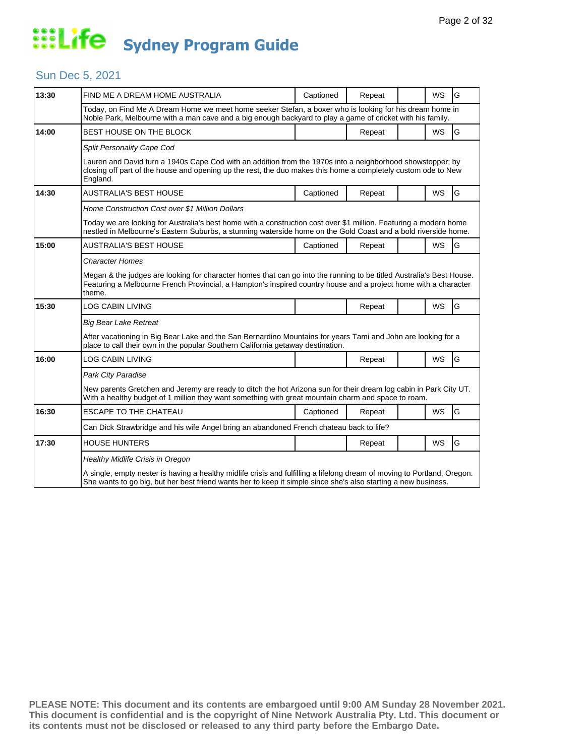### Sun Dec 5, 2021

| 13:30 | FIND ME A DREAM HOME AUSTRALIA                                                                                                                                                                                                                    | Captioned                                                                                                                                                                                                             | Repeat |  | WS        | G |  |  |  |
|-------|---------------------------------------------------------------------------------------------------------------------------------------------------------------------------------------------------------------------------------------------------|-----------------------------------------------------------------------------------------------------------------------------------------------------------------------------------------------------------------------|--------|--|-----------|---|--|--|--|
|       |                                                                                                                                                                                                                                                   | Today, on Find Me A Dream Home we meet home seeker Stefan, a boxer who is looking for his dream home in<br>Noble Park, Melbourne with a man cave and a big enough backyard to play a game of cricket with his family. |        |  |           |   |  |  |  |
| 14:00 | BEST HOUSE ON THE BLOCK                                                                                                                                                                                                                           |                                                                                                                                                                                                                       | Repeat |  | <b>WS</b> | G |  |  |  |
|       | Split Personality Cape Cod                                                                                                                                                                                                                        |                                                                                                                                                                                                                       |        |  |           |   |  |  |  |
|       | Lauren and David turn a 1940s Cape Cod with an addition from the 1970s into a neighborhood showstopper; by<br>closing off part of the house and opening up the rest, the duo makes this home a completely custom ode to New<br>England.           |                                                                                                                                                                                                                       |        |  |           |   |  |  |  |
| 14:30 | <b>AUSTRALIA'S BEST HOUSE</b>                                                                                                                                                                                                                     | Captioned                                                                                                                                                                                                             | Repeat |  | <b>WS</b> | G |  |  |  |
|       | Home Construction Cost over \$1 Million Dollars                                                                                                                                                                                                   |                                                                                                                                                                                                                       |        |  |           |   |  |  |  |
|       | Today we are looking for Australia's best home with a construction cost over \$1 million. Featuring a modern home<br>nestled in Melbourne's Eastern Suburbs, a stunning waterside home on the Gold Coast and a bold riverside home.               |                                                                                                                                                                                                                       |        |  |           |   |  |  |  |
| 15:00 | AUSTRALIA'S BEST HOUSE                                                                                                                                                                                                                            | Captioned                                                                                                                                                                                                             | Repeat |  | WS        | G |  |  |  |
|       | <b>Character Homes</b>                                                                                                                                                                                                                            |                                                                                                                                                                                                                       |        |  |           |   |  |  |  |
|       | Megan & the judges are looking for character homes that can go into the running to be titled Australia's Best House.<br>Featuring a Melbourne French Provincial, a Hampton's inspired country house and a project home with a character<br>theme. |                                                                                                                                                                                                                       |        |  |           |   |  |  |  |
| 15:30 | <b>LOG CABIN LIVING</b>                                                                                                                                                                                                                           |                                                                                                                                                                                                                       | Repeat |  | WS        | G |  |  |  |
|       | <b>Big Bear Lake Retreat</b>                                                                                                                                                                                                                      |                                                                                                                                                                                                                       |        |  |           |   |  |  |  |
|       | After vacationing in Big Bear Lake and the San Bernardino Mountains for years Tami and John are looking for a<br>place to call their own in the popular Southern California getaway destination.                                                  |                                                                                                                                                                                                                       |        |  |           |   |  |  |  |
| 16:00 | <b>LOG CABIN LIVING</b>                                                                                                                                                                                                                           |                                                                                                                                                                                                                       | Repeat |  | WS        | G |  |  |  |
|       | Park City Paradise                                                                                                                                                                                                                                |                                                                                                                                                                                                                       |        |  |           |   |  |  |  |
|       | New parents Gretchen and Jeremy are ready to ditch the hot Arizona sun for their dream log cabin in Park City UT.<br>With a healthy budget of 1 million they want something with great mountain charm and space to roam.                          |                                                                                                                                                                                                                       |        |  |           |   |  |  |  |
| 16:30 | <b>ESCAPE TO THE CHATEAU</b>                                                                                                                                                                                                                      | Captioned                                                                                                                                                                                                             | Repeat |  | <b>WS</b> | G |  |  |  |
|       | Can Dick Strawbridge and his wife Angel bring an abandoned French chateau back to life?                                                                                                                                                           |                                                                                                                                                                                                                       |        |  |           |   |  |  |  |
| 17:30 | <b>HOUSE HUNTERS</b>                                                                                                                                                                                                                              |                                                                                                                                                                                                                       | Repeat |  | <b>WS</b> | G |  |  |  |
|       | <b>Healthy Midlife Crisis in Oregon</b>                                                                                                                                                                                                           |                                                                                                                                                                                                                       |        |  |           |   |  |  |  |
|       | A single, empty nester is having a healthy midlife crisis and fulfilling a lifelong dream of moving to Portland, Oregon.<br>She wants to go big, but her best friend wants her to keep it simple since she's also starting a new business.        |                                                                                                                                                                                                                       |        |  |           |   |  |  |  |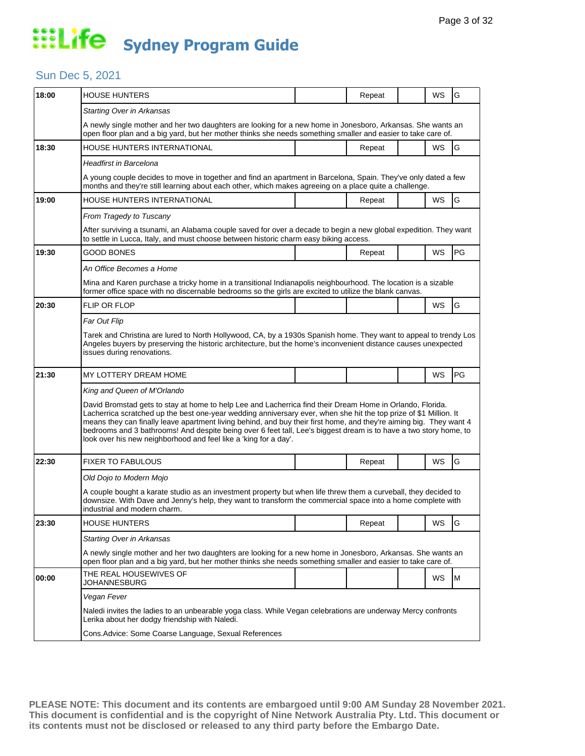## Sun Dec 5, 2021

| 18:00 | HOUSE HUNTERS                                                                                                                                                                                                                                                                                                                                                                                                                                                                                                                                  |  | Repeat |  | WS        | G  |  |  |
|-------|------------------------------------------------------------------------------------------------------------------------------------------------------------------------------------------------------------------------------------------------------------------------------------------------------------------------------------------------------------------------------------------------------------------------------------------------------------------------------------------------------------------------------------------------|--|--------|--|-----------|----|--|--|
|       | Starting Over in Arkansas                                                                                                                                                                                                                                                                                                                                                                                                                                                                                                                      |  |        |  |           |    |  |  |
|       | A newly single mother and her two daughters are looking for a new home in Jonesboro, Arkansas. She wants an<br>open floor plan and a big yard, but her mother thinks she needs something smaller and easier to take care of.                                                                                                                                                                                                                                                                                                                   |  |        |  |           |    |  |  |
| 18:30 | HOUSE HUNTERS INTERNATIONAL                                                                                                                                                                                                                                                                                                                                                                                                                                                                                                                    |  | Repeat |  | <b>WS</b> | G  |  |  |
|       | Headfirst in Barcelona                                                                                                                                                                                                                                                                                                                                                                                                                                                                                                                         |  |        |  |           |    |  |  |
|       | A young couple decides to move in together and find an apartment in Barcelona, Spain. They've only dated a few<br>months and they're still learning about each other, which makes agreeing on a place quite a challenge.                                                                                                                                                                                                                                                                                                                       |  |        |  |           |    |  |  |
| 19:00 | HOUSE HUNTERS INTERNATIONAL                                                                                                                                                                                                                                                                                                                                                                                                                                                                                                                    |  | Repeat |  | WS        | G  |  |  |
|       | From Tragedy to Tuscany                                                                                                                                                                                                                                                                                                                                                                                                                                                                                                                        |  |        |  |           |    |  |  |
|       | After surviving a tsunami, an Alabama couple saved for over a decade to begin a new global expedition. They want<br>to settle in Lucca, Italy, and must choose between historic charm easy biking access.                                                                                                                                                                                                                                                                                                                                      |  |        |  |           |    |  |  |
| 19:30 | <b>GOOD BONES</b>                                                                                                                                                                                                                                                                                                                                                                                                                                                                                                                              |  | Repeat |  | WS        | PG |  |  |
|       | An Office Becomes a Home                                                                                                                                                                                                                                                                                                                                                                                                                                                                                                                       |  |        |  |           |    |  |  |
|       | Mina and Karen purchase a tricky home in a transitional Indianapolis neighbourhood. The location is a sizable<br>former office space with no discernable bedrooms so the girls are excited to utilize the blank canvas.                                                                                                                                                                                                                                                                                                                        |  |        |  |           |    |  |  |
| 20:30 | FLIP OR FLOP                                                                                                                                                                                                                                                                                                                                                                                                                                                                                                                                   |  |        |  | WS        | G  |  |  |
|       | Far Out Flip                                                                                                                                                                                                                                                                                                                                                                                                                                                                                                                                   |  |        |  |           |    |  |  |
|       | Tarek and Christina are lured to North Hollywood, CA, by a 1930s Spanish home. They want to appeal to trendy Los<br>Angeles buyers by preserving the historic architecture, but the home's inconvenient distance causes unexpected<br>issues during renovations.                                                                                                                                                                                                                                                                               |  |        |  |           |    |  |  |
| 21:30 | MY LOTTERY DREAM HOME                                                                                                                                                                                                                                                                                                                                                                                                                                                                                                                          |  |        |  | WS        | PG |  |  |
|       | King and Queen of M'Orlando                                                                                                                                                                                                                                                                                                                                                                                                                                                                                                                    |  |        |  |           |    |  |  |
|       | David Bromstad gets to stay at home to help Lee and Lacherrica find their Dream Home in Orlando, Florida.<br>Lacherrica scratched up the best one-year wedding anniversary ever, when she hit the top prize of \$1 Million. It<br>means they can finally leave apartment living behind, and buy their first home, and they're aiming big. They want 4<br>bedrooms and 3 bathrooms! And despite being over 6 feet tall, Lee's biggest dream is to have a two story home, to<br>look over his new neighborhood and feel like a 'king for a day'. |  |        |  |           |    |  |  |
|       |                                                                                                                                                                                                                                                                                                                                                                                                                                                                                                                                                |  |        |  |           |    |  |  |
| 22:30 | <b>FIXER TO FABULOUS</b>                                                                                                                                                                                                                                                                                                                                                                                                                                                                                                                       |  | Repeat |  | WS        | G  |  |  |
|       | Old Dojo to Modern Mojo                                                                                                                                                                                                                                                                                                                                                                                                                                                                                                                        |  |        |  |           |    |  |  |
|       | A couple bought a karate studio as an investment property but when life threw them a curveball, they decided to<br>downsize. With Dave and Jenny's help, they want to transform the commercial space into a home complete with<br>industrial and modern charm.                                                                                                                                                                                                                                                                                 |  |        |  |           |    |  |  |
| 23:30 | <b>HOUSE HUNTERS</b>                                                                                                                                                                                                                                                                                                                                                                                                                                                                                                                           |  | Repeat |  | WS        | G  |  |  |
|       | <b>Starting Over in Arkansas</b>                                                                                                                                                                                                                                                                                                                                                                                                                                                                                                               |  |        |  |           |    |  |  |
|       | A newly single mother and her two daughters are looking for a new home in Jonesboro, Arkansas. She wants an<br>open floor plan and a big yard, but her mother thinks she needs something smaller and easier to take care of.                                                                                                                                                                                                                                                                                                                   |  |        |  |           |    |  |  |
| 00:00 | THE REAL HOUSEWIVES OF<br>JOHANNESBURG                                                                                                                                                                                                                                                                                                                                                                                                                                                                                                         |  |        |  | WS        | M  |  |  |
|       | Vegan Fever                                                                                                                                                                                                                                                                                                                                                                                                                                                                                                                                    |  |        |  |           |    |  |  |
|       | Naledi invites the ladies to an unbearable yoga class. While Vegan celebrations are underway Mercy confronts<br>Lerika about her dodgy friendship with Naledi.                                                                                                                                                                                                                                                                                                                                                                                 |  |        |  |           |    |  |  |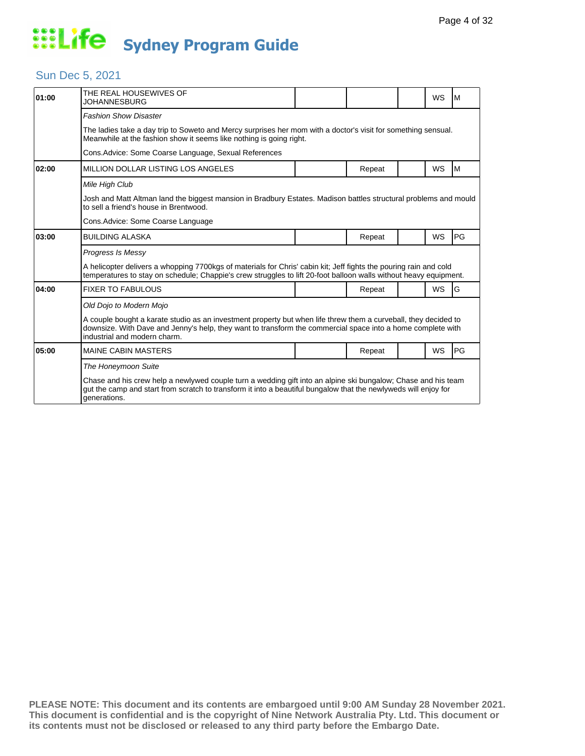### Sun Dec 5, 2021

| 01:00 | THE REAL HOUSEWIVES OF<br>JOHANNESBURG                                                                                                                                                                                                                         |  |        |  | WS        | M  |  |  |
|-------|----------------------------------------------------------------------------------------------------------------------------------------------------------------------------------------------------------------------------------------------------------------|--|--------|--|-----------|----|--|--|
|       | <b>Fashion Show Disaster</b>                                                                                                                                                                                                                                   |  |        |  |           |    |  |  |
|       | The ladies take a day trip to Soweto and Mercy surprises her mom with a doctor's visit for something sensual.<br>Meanwhile at the fashion show it seems like nothing is going right.                                                                           |  |        |  |           |    |  |  |
|       | Cons. Advice: Some Coarse Language, Sexual References                                                                                                                                                                                                          |  |        |  |           |    |  |  |
| 02:00 | MILLION DOLLAR LISTING LOS ANGELES                                                                                                                                                                                                                             |  | Repeat |  | <b>WS</b> | M  |  |  |
|       | Mile High Club                                                                                                                                                                                                                                                 |  |        |  |           |    |  |  |
|       | Josh and Matt Altman land the biggest mansion in Bradbury Estates. Madison battles structural problems and mould<br>to sell a friend's house in Brentwood.                                                                                                     |  |        |  |           |    |  |  |
|       | Cons. Advice: Some Coarse Language                                                                                                                                                                                                                             |  |        |  |           |    |  |  |
| 03:00 | <b>BUILDING ALASKA</b>                                                                                                                                                                                                                                         |  | Repeat |  | <b>WS</b> | PG |  |  |
|       | Progress Is Messy                                                                                                                                                                                                                                              |  |        |  |           |    |  |  |
|       | A helicopter delivers a whopping 7700kgs of materials for Chris' cabin kit; Jeff fights the pouring rain and cold<br>temperatures to stay on schedule; Chappie's crew struggles to lift 20-foot balloon walls without heavy equipment.                         |  |        |  |           |    |  |  |
| 04:00 | <b>FIXER TO FABULOUS</b>                                                                                                                                                                                                                                       |  | Repeat |  | <b>WS</b> | G  |  |  |
|       | Old Dojo to Modern Mojo                                                                                                                                                                                                                                        |  |        |  |           |    |  |  |
|       | A couple bought a karate studio as an investment property but when life threw them a curveball, they decided to<br>downsize. With Dave and Jenny's help, they want to transform the commercial space into a home complete with<br>industrial and modern charm. |  |        |  |           |    |  |  |
| 05:00 | <b>MAINE CABIN MASTERS</b>                                                                                                                                                                                                                                     |  | Repeat |  | WS        | PG |  |  |
|       | The Honeymoon Suite                                                                                                                                                                                                                                            |  |        |  |           |    |  |  |
|       | Chase and his crew help a newlywed couple turn a wedding gift into an alpine ski bungalow; Chase and his team<br>gut the camp and start from scratch to transform it into a beautiful bungalow that the newlyweds will enjoy for<br>generations.               |  |        |  |           |    |  |  |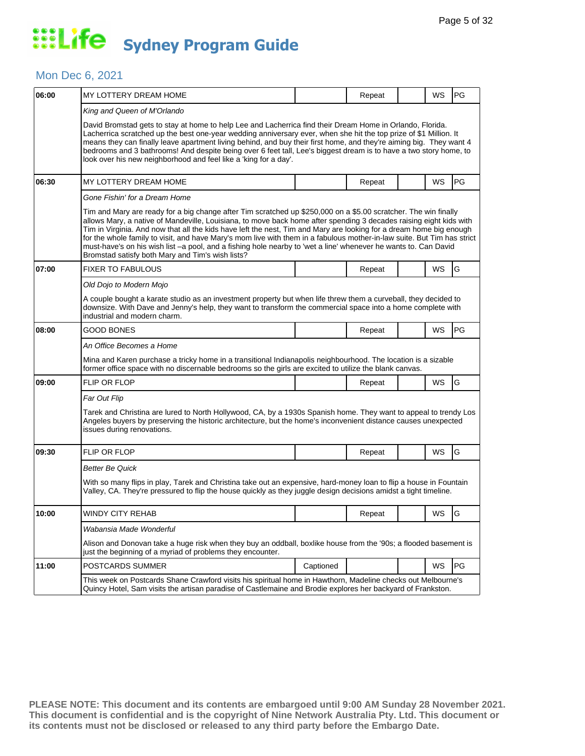#### Mon Dec 6, 2021

| 06:00 | MY LOTTERY DREAM HOME                                                                                                                                                                                                                                                                                                                                                                                                                                                                                                                                                                                                                                          |           | Repeat |  | WS | PG             |  |
|-------|----------------------------------------------------------------------------------------------------------------------------------------------------------------------------------------------------------------------------------------------------------------------------------------------------------------------------------------------------------------------------------------------------------------------------------------------------------------------------------------------------------------------------------------------------------------------------------------------------------------------------------------------------------------|-----------|--------|--|----|----------------|--|
|       | King and Queen of M'Orlando<br>David Bromstad gets to stay at home to help Lee and Lacherrica find their Dream Home in Orlando, Florida.                                                                                                                                                                                                                                                                                                                                                                                                                                                                                                                       |           |        |  |    |                |  |
|       | Lacherrica scratched up the best one-year wedding anniversary ever, when she hit the top prize of \$1 Million. It<br>means they can finally leave apartment living behind, and buy their first home, and they're aiming big. They want 4<br>bedrooms and 3 bathrooms! And despite being over 6 feet tall, Lee's biggest dream is to have a two story home, to<br>look over his new neighborhood and feel like a 'king for a day'.                                                                                                                                                                                                                              |           |        |  |    |                |  |
| 06:30 | MY LOTTERY DREAM HOME                                                                                                                                                                                                                                                                                                                                                                                                                                                                                                                                                                                                                                          |           | Repeat |  | WS | PG             |  |
|       | Gone Fishin' for a Dream Home                                                                                                                                                                                                                                                                                                                                                                                                                                                                                                                                                                                                                                  |           |        |  |    |                |  |
|       | Tim and Mary are ready for a big change after Tim scratched up \$250,000 on a \$5.00 scratcher. The win finally<br>allows Mary, a native of Mandeville, Louisiana, to move back home after spending 3 decades raising eight kids with<br>Tim in Virginia. And now that all the kids have left the nest, Tim and Mary are looking for a dream home big enough<br>for the whole family to visit, and have Mary's mom live with them in a fabulous mother-in-law suite. But Tim has strict<br>must-have's on his wish list -a pool, and a fishing hole nearby to 'wet a line' whenever he wants to. Can David<br>Bromstad satisfy both Mary and Tim's wish lists? |           |        |  |    |                |  |
| 07:00 | FIXER TO FABULOUS                                                                                                                                                                                                                                                                                                                                                                                                                                                                                                                                                                                                                                              |           | Repeat |  | WS | G              |  |
|       | Old Dojo to Modern Mojo                                                                                                                                                                                                                                                                                                                                                                                                                                                                                                                                                                                                                                        |           |        |  |    |                |  |
|       | A couple bought a karate studio as an investment property but when life threw them a curveball, they decided to<br>downsize. With Dave and Jenny's help, they want to transform the commercial space into a home complete with<br>industrial and modern charm.                                                                                                                                                                                                                                                                                                                                                                                                 |           |        |  |    |                |  |
| 08:00 | GOOD BONES                                                                                                                                                                                                                                                                                                                                                                                                                                                                                                                                                                                                                                                     |           | Repeat |  | WS | PG             |  |
|       | An Office Becomes a Home                                                                                                                                                                                                                                                                                                                                                                                                                                                                                                                                                                                                                                       |           |        |  |    |                |  |
|       | Mina and Karen purchase a tricky home in a transitional Indianapolis neighbourhood. The location is a sizable<br>former office space with no discernable bedrooms so the girls are excited to utilize the blank canvas.                                                                                                                                                                                                                                                                                                                                                                                                                                        |           |        |  |    |                |  |
| 09:00 | <b>FLIP OR FLOP</b>                                                                                                                                                                                                                                                                                                                                                                                                                                                                                                                                                                                                                                            |           | Repeat |  | WS | G              |  |
|       | Far Out Flip                                                                                                                                                                                                                                                                                                                                                                                                                                                                                                                                                                                                                                                   |           |        |  |    |                |  |
|       | Tarek and Christina are lured to North Hollywood, CA, by a 1930s Spanish home. They want to appeal to trendy Los<br>Angeles buyers by preserving the historic architecture, but the home's inconvenient distance causes unexpected<br>issues during renovations.                                                                                                                                                                                                                                                                                                                                                                                               |           |        |  |    |                |  |
| 09:30 | FLIP OR FLOP                                                                                                                                                                                                                                                                                                                                                                                                                                                                                                                                                                                                                                                   |           | Repeat |  | WS | G              |  |
|       | Better Be Quick                                                                                                                                                                                                                                                                                                                                                                                                                                                                                                                                                                                                                                                |           |        |  |    |                |  |
|       | With so many flips in play, Tarek and Christina take out an expensive, hard-money loan to flip a house in Fountain<br>Valley, CA. They're pressured to flip the house quickly as they juggle design decisions amidst a tight timeline.                                                                                                                                                                                                                                                                                                                                                                                                                         |           |        |  |    |                |  |
| 10:00 | WINDY CITY REHAB                                                                                                                                                                                                                                                                                                                                                                                                                                                                                                                                                                                                                                               |           | Repeat |  | WS | $\overline{G}$ |  |
|       | Wabansia Made Wonderful                                                                                                                                                                                                                                                                                                                                                                                                                                                                                                                                                                                                                                        |           |        |  |    |                |  |
|       | Alison and Donovan take a huge risk when they buy an oddball, boxlike house from the '90s; a flooded basement is<br>just the beginning of a myriad of problems they encounter.                                                                                                                                                                                                                                                                                                                                                                                                                                                                                 |           |        |  |    |                |  |
| 11:00 | POSTCARDS SUMMER                                                                                                                                                                                                                                                                                                                                                                                                                                                                                                                                                                                                                                               | Captioned |        |  | WS | PG             |  |
|       | This week on Postcards Shane Crawford visits his spiritual home in Hawthorn, Madeline checks out Melbourne's<br>Quincy Hotel, Sam visits the artisan paradise of Castlemaine and Brodie explores her backyard of Frankston.                                                                                                                                                                                                                                                                                                                                                                                                                                    |           |        |  |    |                |  |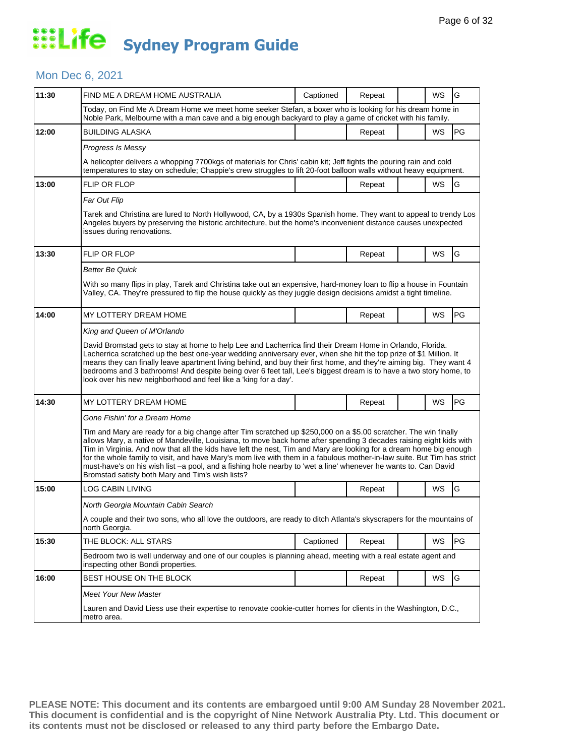### Mon Dec 6, 2021

| 11:30 | FIND ME A DREAM HOME AUSTRALIA                                                                                                                                                                                                                                                                                                                                                                                                                                                                                                                                                                                                                                 | Captioned | Repeat |  | WS | G  |  |  |
|-------|----------------------------------------------------------------------------------------------------------------------------------------------------------------------------------------------------------------------------------------------------------------------------------------------------------------------------------------------------------------------------------------------------------------------------------------------------------------------------------------------------------------------------------------------------------------------------------------------------------------------------------------------------------------|-----------|--------|--|----|----|--|--|
|       | Today, on Find Me A Dream Home we meet home seeker Stefan, a boxer who is looking for his dream home in<br>Noble Park, Melbourne with a man cave and a big enough backyard to play a game of cricket with his family.                                                                                                                                                                                                                                                                                                                                                                                                                                          |           |        |  |    |    |  |  |
| 12:00 | <b>BUILDING ALASKA</b>                                                                                                                                                                                                                                                                                                                                                                                                                                                                                                                                                                                                                                         |           | Repeat |  | WS | PG |  |  |
|       | Progress Is Messy                                                                                                                                                                                                                                                                                                                                                                                                                                                                                                                                                                                                                                              |           |        |  |    |    |  |  |
|       | A helicopter delivers a whopping 7700kgs of materials for Chris' cabin kit; Jeff fights the pouring rain and cold<br>temperatures to stay on schedule; Chappie's crew struggles to lift 20-foot balloon walls without heavy equipment.                                                                                                                                                                                                                                                                                                                                                                                                                         |           |        |  |    |    |  |  |
| 13:00 | <b>FLIP OR FLOP</b>                                                                                                                                                                                                                                                                                                                                                                                                                                                                                                                                                                                                                                            |           | Repeat |  | WS | G  |  |  |
|       | Far Out Flip                                                                                                                                                                                                                                                                                                                                                                                                                                                                                                                                                                                                                                                   |           |        |  |    |    |  |  |
|       | Tarek and Christina are lured to North Hollywood, CA, by a 1930s Spanish home. They want to appeal to trendy Los<br>Angeles buyers by preserving the historic architecture, but the home's inconvenient distance causes unexpected<br>issues during renovations.                                                                                                                                                                                                                                                                                                                                                                                               |           |        |  |    |    |  |  |
| 13:30 | <b>FLIP OR FLOP</b>                                                                                                                                                                                                                                                                                                                                                                                                                                                                                                                                                                                                                                            |           | Repeat |  | WS | G  |  |  |
|       | Better Be Quick                                                                                                                                                                                                                                                                                                                                                                                                                                                                                                                                                                                                                                                |           |        |  |    |    |  |  |
|       | With so many flips in play, Tarek and Christina take out an expensive, hard-money loan to flip a house in Fountain<br>Valley, CA. They're pressured to flip the house quickly as they juggle design decisions amidst a tight timeline.                                                                                                                                                                                                                                                                                                                                                                                                                         |           |        |  |    |    |  |  |
| 14:00 | MY LOTTERY DREAM HOME                                                                                                                                                                                                                                                                                                                                                                                                                                                                                                                                                                                                                                          |           | Repeat |  | WS | PG |  |  |
|       | King and Queen of M'Orlando                                                                                                                                                                                                                                                                                                                                                                                                                                                                                                                                                                                                                                    |           |        |  |    |    |  |  |
|       | Lacherrica scratched up the best one-year wedding anniversary ever, when she hit the top prize of \$1 Million. It<br>means they can finally leave apartment living behind, and buy their first home, and they're aiming big. They want 4<br>bedrooms and 3 bathrooms! And despite being over 6 feet tall, Lee's biggest dream is to have a two story home, to<br>look over his new neighborhood and feel like a 'king for a day'.                                                                                                                                                                                                                              |           |        |  |    |    |  |  |
| 14:30 | MY LOTTERY DREAM HOME                                                                                                                                                                                                                                                                                                                                                                                                                                                                                                                                                                                                                                          |           | Repeat |  | WS | PG |  |  |
|       | Gone Fishin' for a Dream Home                                                                                                                                                                                                                                                                                                                                                                                                                                                                                                                                                                                                                                  |           |        |  |    |    |  |  |
|       | Tim and Mary are ready for a big change after Tim scratched up \$250,000 on a \$5.00 scratcher. The win finally<br>allows Mary, a native of Mandeville, Louisiana, to move back home after spending 3 decades raising eight kids with<br>Tim in Virginia. And now that all the kids have left the nest, Tim and Mary are looking for a dream home big enough<br>for the whole family to visit, and have Mary's mom live with them in a fabulous mother-in-law suite. But Tim has strict<br>must-have's on his wish list -a pool, and a fishing hole nearby to 'wet a line' whenever he wants to. Can David<br>Bromstad satisfy both Mary and Tim's wish lists? |           |        |  |    |    |  |  |
| 15:00 | <b>LOG CABIN LIVING</b>                                                                                                                                                                                                                                                                                                                                                                                                                                                                                                                                                                                                                                        |           | Repeat |  | WS | G  |  |  |
|       | North Georgia Mountain Cabin Search                                                                                                                                                                                                                                                                                                                                                                                                                                                                                                                                                                                                                            |           |        |  |    |    |  |  |
|       | A couple and their two sons, who all love the outdoors, are ready to ditch Atlanta's skyscrapers for the mountains of<br>north Georgia.                                                                                                                                                                                                                                                                                                                                                                                                                                                                                                                        |           |        |  |    |    |  |  |
| 15:30 | THE BLOCK: ALL STARS                                                                                                                                                                                                                                                                                                                                                                                                                                                                                                                                                                                                                                           | Captioned | Repeat |  | WS | PG |  |  |
|       | Bedroom two is well underway and one of our couples is planning ahead, meeting with a real estate agent and<br>inspecting other Bondi properties.                                                                                                                                                                                                                                                                                                                                                                                                                                                                                                              |           |        |  |    |    |  |  |
| 16:00 | BEST HOUSE ON THE BLOCK                                                                                                                                                                                                                                                                                                                                                                                                                                                                                                                                                                                                                                        |           | Repeat |  | WS | G  |  |  |
|       | <b>Meet Your New Master</b><br>Lauren and David Liess use their expertise to renovate cookie-cutter homes for clients in the Washington, D.C.,                                                                                                                                                                                                                                                                                                                                                                                                                                                                                                                 |           |        |  |    |    |  |  |
|       | metro area.                                                                                                                                                                                                                                                                                                                                                                                                                                                                                                                                                                                                                                                    |           |        |  |    |    |  |  |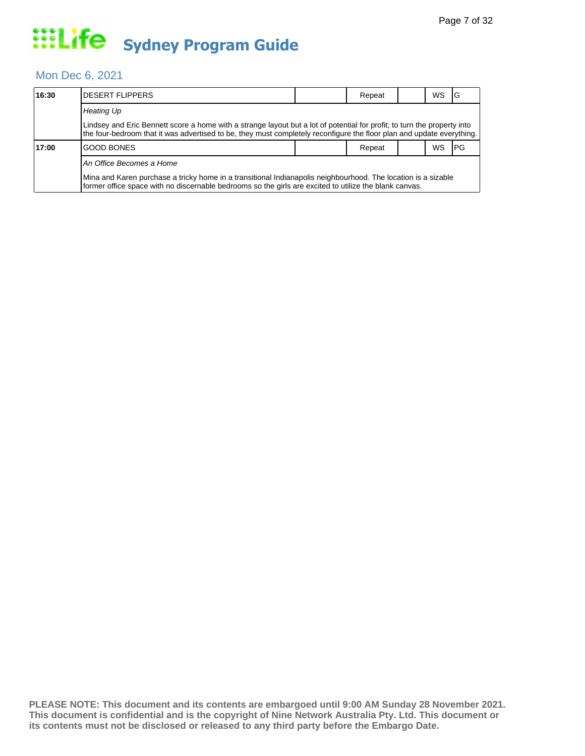#### Mon Dec 6, 2021

| 16:30 | IDESERT FLIPPERS                                                                                                                                                                                                                                  |  | Repeat |  | WS | IG   |  |  |  |
|-------|---------------------------------------------------------------------------------------------------------------------------------------------------------------------------------------------------------------------------------------------------|--|--------|--|----|------|--|--|--|
|       | <b>Heating Up</b>                                                                                                                                                                                                                                 |  |        |  |    |      |  |  |  |
|       | Lindsey and Eric Bennett score a home with a strange layout but a lot of potential for profit; to turn the property into<br>the four-bedroom that it was advertised to be, they must completely reconfigure the floor plan and update everything. |  |        |  |    |      |  |  |  |
| 17:00 | IGOOD BONES                                                                                                                                                                                                                                       |  | Repeat |  | WS | IPG. |  |  |  |
|       | An Office Becomes a Home                                                                                                                                                                                                                          |  |        |  |    |      |  |  |  |
|       | Mina and Karen purchase a tricky home in a transitional Indianapolis neighbourhood. The location is a sizable<br>former office space with no discernable bedrooms so the girls are excited to utilize the blank canvas.                           |  |        |  |    |      |  |  |  |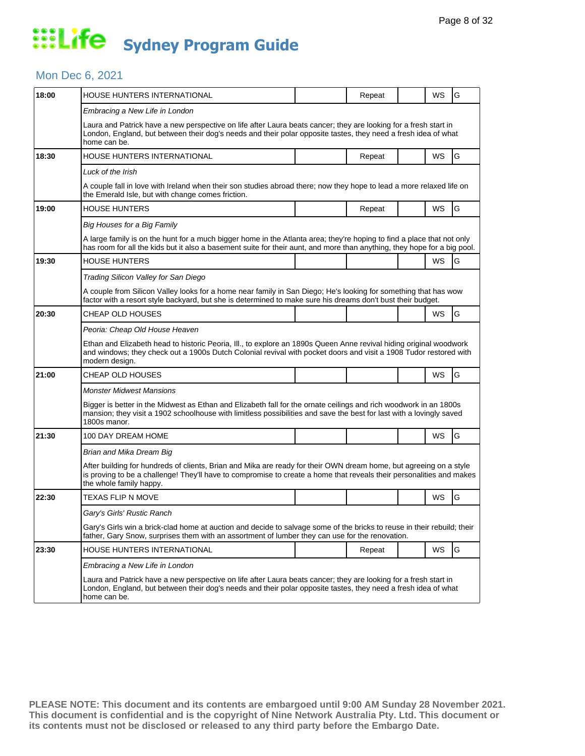#### Mon Dec 6, 2021

| 18:00 | HOUSE HUNTERS INTERNATIONAL                                                                                                                                                                                                                                           |  | Repeat |  | WS        | G |  |  |
|-------|-----------------------------------------------------------------------------------------------------------------------------------------------------------------------------------------------------------------------------------------------------------------------|--|--------|--|-----------|---|--|--|
|       | Embracing a New Life in London                                                                                                                                                                                                                                        |  |        |  |           |   |  |  |
|       | Laura and Patrick have a new perspective on life after Laura beats cancer; they are looking for a fresh start in<br>London, England, but between their dog's needs and their polar opposite tastes, they need a fresh idea of what<br>home can be.                    |  |        |  |           |   |  |  |
| 18:30 | <b>HOUSE HUNTERS INTERNATIONAL</b>                                                                                                                                                                                                                                    |  | Repeat |  | WS        | G |  |  |
|       | Luck of the Irish                                                                                                                                                                                                                                                     |  |        |  |           |   |  |  |
|       | A couple fall in love with Ireland when their son studies abroad there; now they hope to lead a more relaxed life on<br>the Emerald Isle, but with change comes friction.                                                                                             |  |        |  |           |   |  |  |
| 19:00 | <b>HOUSE HUNTERS</b>                                                                                                                                                                                                                                                  |  | Repeat |  | <b>WS</b> | G |  |  |
|       | Big Houses for a Big Family                                                                                                                                                                                                                                           |  |        |  |           |   |  |  |
|       | A large family is on the hunt for a much bigger home in the Atlanta area; they're hoping to find a place that not only<br>has room for all the kids but it also a basement suite for their aunt, and more than anything, they hope for a big pool.                    |  |        |  |           |   |  |  |
| 19:30 | <b>HOUSE HUNTERS</b>                                                                                                                                                                                                                                                  |  |        |  | WS        | G |  |  |
|       | Trading Silicon Valley for San Diego                                                                                                                                                                                                                                  |  |        |  |           |   |  |  |
|       | A couple from Silicon Valley looks for a home near family in San Diego; He's looking for something that has wow<br>factor with a resort style backyard, but she is determined to make sure his dreams don't bust their budget.                                        |  |        |  |           |   |  |  |
| 20:30 | <b>CHEAP OLD HOUSES</b>                                                                                                                                                                                                                                               |  |        |  | WS        | G |  |  |
|       | Peoria: Cheap Old House Heaven                                                                                                                                                                                                                                        |  |        |  |           |   |  |  |
|       | Ethan and Elizabeth head to historic Peoria, III., to explore an 1890s Queen Anne revival hiding original woodwork<br>and windows; they check out a 1900s Dutch Colonial revival with pocket doors and visit a 1908 Tudor restored with<br>modern design.             |  |        |  |           |   |  |  |
| 21:00 | <b>CHEAP OLD HOUSES</b>                                                                                                                                                                                                                                               |  |        |  | WS        | G |  |  |
|       | <b>Monster Midwest Mansions</b>                                                                                                                                                                                                                                       |  |        |  |           |   |  |  |
|       | Bigger is better in the Midwest as Ethan and Elizabeth fall for the ornate ceilings and rich woodwork in an 1800s<br>mansion; they visit a 1902 schoolhouse with limitless possibilities and save the best for last with a lovingly saved<br>1800s manor.             |  |        |  |           |   |  |  |
| 21:30 | 100 DAY DREAM HOME                                                                                                                                                                                                                                                    |  |        |  | WS        | G |  |  |
|       | Brian and Mika Dream Big                                                                                                                                                                                                                                              |  |        |  |           |   |  |  |
|       | After building for hundreds of clients, Brian and Mika are ready for their OWN dream home, but agreeing on a style<br>is proving to be a challenge! They'll have to compromise to create a home that reveals their personalities and makes<br>the whole family happy. |  |        |  |           |   |  |  |
| 22:30 | TEXAS FLIP N MOVE                                                                                                                                                                                                                                                     |  |        |  | WS        | G |  |  |
|       | Gary's Girls' Rustic Ranch                                                                                                                                                                                                                                            |  |        |  |           |   |  |  |
|       | Gary's Girls win a brick-clad home at auction and decide to salvage some of the bricks to reuse in their rebuild; their<br>father, Gary Snow, surprises them with an assortment of lumber they can use for the renovation.                                            |  |        |  |           |   |  |  |
| 23:30 | HOUSE HUNTERS INTERNATIONAL                                                                                                                                                                                                                                           |  | Repeat |  | WS        | G |  |  |
|       | Embracing a New Life in London                                                                                                                                                                                                                                        |  |        |  |           |   |  |  |
|       | Laura and Patrick have a new perspective on life after Laura beats cancer; they are looking for a fresh start in<br>London, England, but between their dog's needs and their polar opposite tastes, they need a fresh idea of what<br>home can be.                    |  |        |  |           |   |  |  |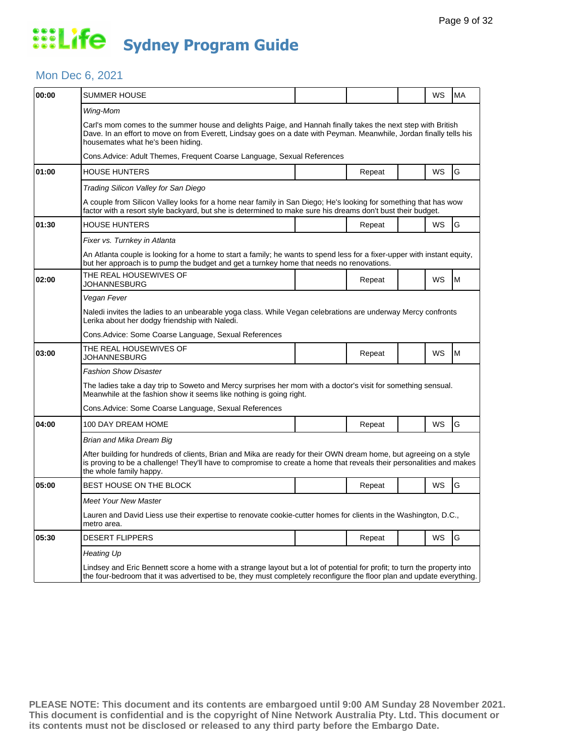### Mon Dec 6, 2021

| 00:00 | SUMMER HOUSE                                                                                                                                                                                                                                                             |  |        |  | WS        | <b>MA</b> |  |  |
|-------|--------------------------------------------------------------------------------------------------------------------------------------------------------------------------------------------------------------------------------------------------------------------------|--|--------|--|-----------|-----------|--|--|
|       | Wing-Mom                                                                                                                                                                                                                                                                 |  |        |  |           |           |  |  |
|       | Carl's mom comes to the summer house and delights Paige, and Hannah finally takes the next step with British<br>Dave. In an effort to move on from Everett, Lindsay goes on a date with Peyman. Meanwhile, Jordan finally tells his<br>housemates what he's been hiding. |  |        |  |           |           |  |  |
|       | Cons.Advice: Adult Themes, Frequent Coarse Language, Sexual References                                                                                                                                                                                                   |  |        |  |           |           |  |  |
| 01:00 | <b>HOUSE HUNTERS</b>                                                                                                                                                                                                                                                     |  | Repeat |  | WS        | G         |  |  |
|       | Trading Silicon Valley for San Diego                                                                                                                                                                                                                                     |  |        |  |           |           |  |  |
|       | A couple from Silicon Valley looks for a home near family in San Diego; He's looking for something that has wow<br>factor with a resort style backyard, but she is determined to make sure his dreams don't bust their budget.                                           |  |        |  |           |           |  |  |
| 01:30 | <b>HOUSE HUNTERS</b>                                                                                                                                                                                                                                                     |  | Repeat |  | WS        | G         |  |  |
|       | Fixer vs. Turnkey in Atlanta                                                                                                                                                                                                                                             |  |        |  |           |           |  |  |
|       | An Atlanta couple is looking for a home to start a family; he wants to spend less for a fixer-upper with instant equity,<br>but her approach is to pump the budget and get a turnkey home that needs no renovations.                                                     |  |        |  |           |           |  |  |
| 02:00 | THE REAL HOUSEWIVES OF<br>JOHANNESBURG                                                                                                                                                                                                                                   |  | Repeat |  | <b>WS</b> | M         |  |  |
|       | Vegan Fever                                                                                                                                                                                                                                                              |  |        |  |           |           |  |  |
|       | Naledi invites the ladies to an unbearable yoga class. While Vegan celebrations are underway Mercy confronts<br>Lerika about her dodgy friendship with Naledi.                                                                                                           |  |        |  |           |           |  |  |
|       | Cons.Advice: Some Coarse Language, Sexual References                                                                                                                                                                                                                     |  |        |  |           |           |  |  |
| 03:00 | THE REAL HOUSEWIVES OF<br>JOHANNESBURG                                                                                                                                                                                                                                   |  | Repeat |  | WS        | lM.       |  |  |
|       | Fashion Show Disaster                                                                                                                                                                                                                                                    |  |        |  |           |           |  |  |
|       | The ladies take a day trip to Soweto and Mercy surprises her mom with a doctor's visit for something sensual.<br>Meanwhile at the fashion show it seems like nothing is going right.                                                                                     |  |        |  |           |           |  |  |
|       | Cons.Advice: Some Coarse Language, Sexual References                                                                                                                                                                                                                     |  |        |  |           |           |  |  |
| 04:00 | 100 DAY DREAM HOME                                                                                                                                                                                                                                                       |  | Repeat |  | WS        | G         |  |  |
|       | Brian and Mika Dream Big                                                                                                                                                                                                                                                 |  |        |  |           |           |  |  |
|       | After building for hundreds of clients, Brian and Mika are ready for their OWN dream home, but agreeing on a style<br>is proving to be a challenge! They'll have to compromise to create a home that reveals their personalities and makes<br>the whole family happy.    |  |        |  |           |           |  |  |
| 05:00 | <b>BEST HOUSE ON THE BLOCK</b>                                                                                                                                                                                                                                           |  | Repeat |  | WS        | G         |  |  |
|       | Meet Your New Master                                                                                                                                                                                                                                                     |  |        |  |           |           |  |  |
|       | Lauren and David Liess use their expertise to renovate cookie-cutter homes for clients in the Washington, D.C.,<br>metro area.                                                                                                                                           |  |        |  |           |           |  |  |
| 05:30 | <b>DESERT FLIPPERS</b>                                                                                                                                                                                                                                                   |  | Repeat |  | WS        | G         |  |  |
|       | Heating Up                                                                                                                                                                                                                                                               |  |        |  |           |           |  |  |
|       | Lindsey and Eric Bennett score a home with a strange layout but a lot of potential for profit; to turn the property into<br>the four-bedroom that it was advertised to be, they must completely reconfigure the floor plan and update everything.                        |  |        |  |           |           |  |  |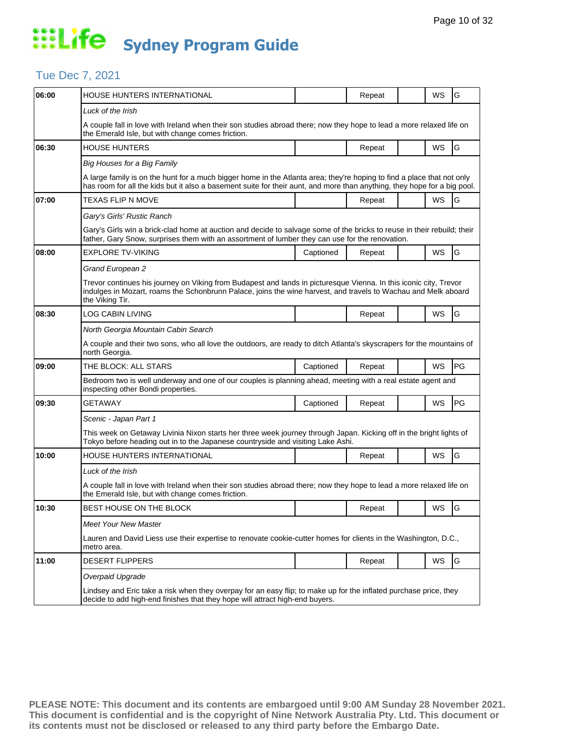## Tue Dec 7, 2021

| 06:00 | <b>HOUSE HUNTERS INTERNATIONAL</b>                                                                                                                                                                                                                     |           | Repeat |  | WS | G  |  |  |
|-------|--------------------------------------------------------------------------------------------------------------------------------------------------------------------------------------------------------------------------------------------------------|-----------|--------|--|----|----|--|--|
|       | Luck of the Irish                                                                                                                                                                                                                                      |           |        |  |    |    |  |  |
|       | A couple fall in love with Ireland when their son studies abroad there; now they hope to lead a more relaxed life on<br>the Emerald Isle, but with change comes friction.                                                                              |           |        |  |    |    |  |  |
| 06:30 | <b>HOUSE HUNTERS</b>                                                                                                                                                                                                                                   |           | Repeat |  | WS | G  |  |  |
|       | Big Houses for a Big Family                                                                                                                                                                                                                            |           |        |  |    |    |  |  |
|       | A large family is on the hunt for a much bigger home in the Atlanta area; they're hoping to find a place that not only<br>has room for all the kids but it also a basement suite for their aunt, and more than anything, they hope for a big pool.     |           |        |  |    |    |  |  |
| 07:00 | TEXAS FLIP N MOVE                                                                                                                                                                                                                                      |           | Repeat |  | WS | G  |  |  |
|       | Gary's Girls' Rustic Ranch                                                                                                                                                                                                                             |           |        |  |    |    |  |  |
|       | Gary's Girls win a brick-clad home at auction and decide to salvage some of the bricks to reuse in their rebuild; their<br>father, Gary Snow, surprises them with an assortment of lumber they can use for the renovation.                             |           |        |  |    |    |  |  |
| 08:00 | EXPLORE TV-VIKING                                                                                                                                                                                                                                      | Captioned | Repeat |  | WS | G  |  |  |
|       | Grand European 2                                                                                                                                                                                                                                       |           |        |  |    |    |  |  |
|       | Trevor continues his journey on Viking from Budapest and lands in picturesque Vienna. In this iconic city, Trevor<br>indulges in Mozart, roams the Schonbrunn Palace, joins the wine harvest, and travels to Wachau and Melk aboard<br>the Viking Tir. |           |        |  |    |    |  |  |
| 08:30 | LOG CABIN LIVING                                                                                                                                                                                                                                       |           | Repeat |  | WS | G  |  |  |
|       | North Georgia Mountain Cabin Search                                                                                                                                                                                                                    |           |        |  |    |    |  |  |
|       | A couple and their two sons, who all love the outdoors, are ready to ditch Atlanta's skyscrapers for the mountains of<br>north Georgia.                                                                                                                |           |        |  |    |    |  |  |
| 09:00 | THE BLOCK: ALL STARS                                                                                                                                                                                                                                   | Captioned | Repeat |  | WS | PG |  |  |
|       | Bedroom two is well underway and one of our couples is planning ahead, meeting with a real estate agent and<br>inspecting other Bondi properties.                                                                                                      |           |        |  |    |    |  |  |
| 09:30 | GETAWAY                                                                                                                                                                                                                                                | Captioned | Repeat |  | WS | PG |  |  |
|       | Scenic - Japan Part 1                                                                                                                                                                                                                                  |           |        |  |    |    |  |  |
|       | This week on Getaway Livinia Nixon starts her three week journey through Japan. Kicking off in the bright lights of<br>Tokyo before heading out in to the Japanese countryside and visiting Lake Ashi.                                                 |           |        |  |    |    |  |  |
| 10:00 | HOUSE HUNTERS INTERNATIONAL                                                                                                                                                                                                                            |           | Repeat |  | WS | G  |  |  |
|       | Luck of the Irish                                                                                                                                                                                                                                      |           |        |  |    |    |  |  |
|       | A couple fall in love with Ireland when their son studies abroad there; now they hope to lead a more relaxed life on<br>the Emerald Isle, but with change comes friction.                                                                              |           |        |  |    |    |  |  |
| 10:30 | BEST HOUSE ON THE BLOCK                                                                                                                                                                                                                                |           | Repeat |  | WS | G  |  |  |
|       | <b>Meet Your New Master</b>                                                                                                                                                                                                                            |           |        |  |    |    |  |  |
|       | Lauren and David Liess use their expertise to renovate cookie-cutter homes for clients in the Washington, D.C.,<br>metro area.                                                                                                                         |           |        |  |    |    |  |  |
| 11:00 | DESERT FLIPPERS                                                                                                                                                                                                                                        |           | Repeat |  | WS | G  |  |  |
|       | Overpaid Upgrade                                                                                                                                                                                                                                       |           |        |  |    |    |  |  |
|       | Lindsey and Eric take a risk when they overpay for an easy flip; to make up for the inflated purchase price, they<br>decide to add high-end finishes that they hope will attract high-end buyers.                                                      |           |        |  |    |    |  |  |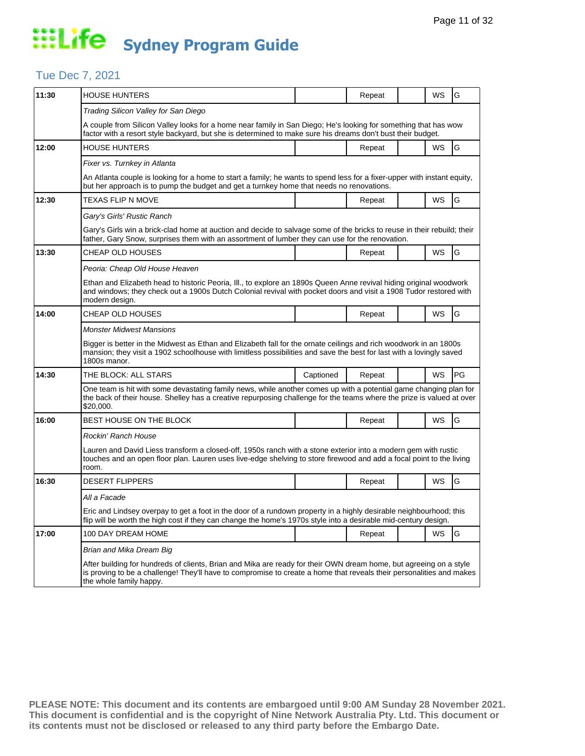## Tue Dec 7, 2021

| 11:30 | <b>HOUSE HUNTERS</b>                                                                                                                                                                                                                                                  |           | Repeat |  | WS        | G         |  |  |
|-------|-----------------------------------------------------------------------------------------------------------------------------------------------------------------------------------------------------------------------------------------------------------------------|-----------|--------|--|-----------|-----------|--|--|
|       | Trading Silicon Valley for San Diego                                                                                                                                                                                                                                  |           |        |  |           |           |  |  |
|       | A couple from Silicon Valley looks for a home near family in San Diego; He's looking for something that has wow<br>factor with a resort style backyard, but she is determined to make sure his dreams don't bust their budget.                                        |           |        |  |           |           |  |  |
| 12:00 | HOUSE HUNTERS                                                                                                                                                                                                                                                         |           | Repeat |  | <b>WS</b> | G         |  |  |
|       | Fixer vs. Turnkey in Atlanta                                                                                                                                                                                                                                          |           |        |  |           |           |  |  |
|       | An Atlanta couple is looking for a home to start a family; he wants to spend less for a fixer-upper with instant equity,<br>but her approach is to pump the budget and get a turnkey home that needs no renovations.                                                  |           |        |  |           |           |  |  |
| 12:30 | TEXAS FLIP N MOVE                                                                                                                                                                                                                                                     |           | Repeat |  | WS        | G         |  |  |
|       | Gary's Girls' Rustic Ranch                                                                                                                                                                                                                                            |           |        |  |           |           |  |  |
|       | Gary's Girls win a brick-clad home at auction and decide to salvage some of the bricks to reuse in their rebuild; their<br>father, Gary Snow, surprises them with an assortment of lumber they can use for the renovation.                                            |           |        |  |           |           |  |  |
| 13:30 | CHEAP OLD HOUSES                                                                                                                                                                                                                                                      |           | Repeat |  | WS        | G         |  |  |
|       | Peoria: Cheap Old House Heaven                                                                                                                                                                                                                                        |           |        |  |           |           |  |  |
|       | Ethan and Elizabeth head to historic Peoria, III., to explore an 1890s Queen Anne revival hiding original woodwork<br>and windows; they check out a 1900s Dutch Colonial revival with pocket doors and visit a 1908 Tudor restored with<br>modern design.             |           |        |  |           |           |  |  |
| 14:00 | CHEAP OLD HOUSES                                                                                                                                                                                                                                                      |           | Repeat |  | WS        | G         |  |  |
|       | <b>Monster Midwest Mansions</b>                                                                                                                                                                                                                                       |           |        |  |           |           |  |  |
|       | Bigger is better in the Midwest as Ethan and Elizabeth fall for the ornate ceilings and rich woodwork in an 1800s<br>mansion; they visit a 1902 schoolhouse with limitless possibilities and save the best for last with a lovingly saved<br>1800s manor.             |           |        |  |           |           |  |  |
| 14:30 | THE BLOCK: ALL STARS                                                                                                                                                                                                                                                  | Captioned | Repeat |  | <b>WS</b> | <b>PG</b> |  |  |
|       | One team is hit with some devastating family news, while another comes up with a potential game changing plan for<br>the back of their house. Shelley has a creative repurposing challenge for the teams where the prize is valued at over<br>\$20,000.               |           |        |  |           |           |  |  |
| 16:00 | BEST HOUSE ON THE BLOCK                                                                                                                                                                                                                                               |           | Repeat |  | WS        | G         |  |  |
|       | Rockin' Ranch House                                                                                                                                                                                                                                                   |           |        |  |           |           |  |  |
|       | Lauren and David Liess transform a closed-off, 1950s ranch with a stone exterior into a modern gem with rustic<br>touches and an open floor plan. Lauren uses live-edge shelving to store firewood and add a focal point to the living<br>room.                       |           |        |  |           |           |  |  |
| 16:30 | <b>DESERT FLIPPERS</b>                                                                                                                                                                                                                                                |           | Repeat |  | WS        | G         |  |  |
|       | All a Facade                                                                                                                                                                                                                                                          |           |        |  |           |           |  |  |
|       | Eric and Lindsey overpay to get a foot in the door of a rundown property in a highly desirable neighbourhood; this<br>flip will be worth the high cost if they can change the home's 1970s style into a desirable mid-century design.                                 |           |        |  |           |           |  |  |
| 17:00 | 100 DAY DREAM HOME                                                                                                                                                                                                                                                    |           | Repeat |  | WS        | G         |  |  |
|       | Brian and Mika Dream Big                                                                                                                                                                                                                                              |           |        |  |           |           |  |  |
|       | After building for hundreds of clients, Brian and Mika are ready for their OWN dream home, but agreeing on a style<br>is proving to be a challenge! They'll have to compromise to create a home that reveals their personalities and makes<br>the whole family happy. |           |        |  |           |           |  |  |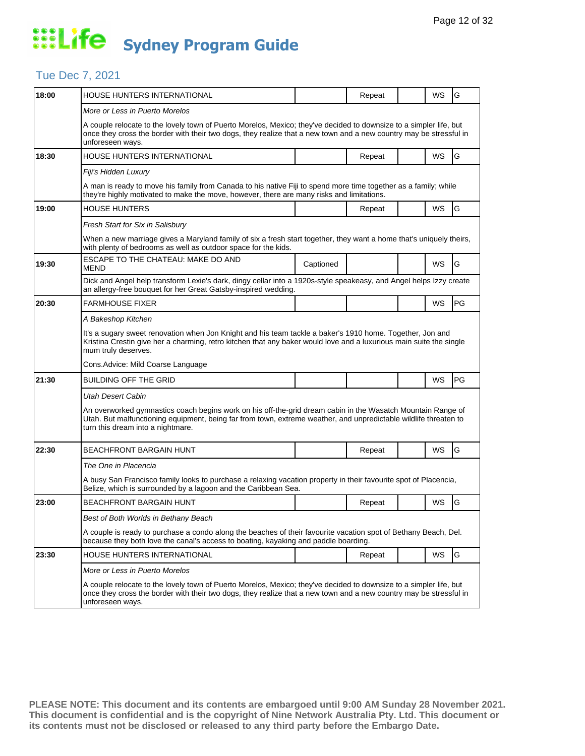## Tue Dec 7, 2021

| 18:00 | HOUSE HUNTERS INTERNATIONAL                                                                                                                                                                                                                                          |                                                                                                                                                                                                        | Repeat | WS | G  |  |  |  |
|-------|----------------------------------------------------------------------------------------------------------------------------------------------------------------------------------------------------------------------------------------------------------------------|--------------------------------------------------------------------------------------------------------------------------------------------------------------------------------------------------------|--------|----|----|--|--|--|
|       | More or Less in Puerto Morelos                                                                                                                                                                                                                                       |                                                                                                                                                                                                        |        |    |    |  |  |  |
|       | A couple relocate to the lovely town of Puerto Morelos, Mexico; they've decided to downsize to a simpler life, but<br>once they cross the border with their two dogs, they realize that a new town and a new country may be stressful in<br>unforeseen ways.         |                                                                                                                                                                                                        |        |    |    |  |  |  |
| 18:30 | HOUSE HUNTERS INTERNATIONAL                                                                                                                                                                                                                                          |                                                                                                                                                                                                        | Repeat | WS | G  |  |  |  |
|       | Fiji's Hidden Luxury                                                                                                                                                                                                                                                 |                                                                                                                                                                                                        |        |    |    |  |  |  |
|       | A man is ready to move his family from Canada to his native Fiji to spend more time together as a family; while<br>they're highly motivated to make the move, however, there are many risks and limitations.                                                         |                                                                                                                                                                                                        |        |    |    |  |  |  |
| 19:00 | <b>HOUSE HUNTERS</b>                                                                                                                                                                                                                                                 |                                                                                                                                                                                                        | Repeat | WS | G  |  |  |  |
|       | Fresh Start for Six in Salisbury                                                                                                                                                                                                                                     |                                                                                                                                                                                                        |        |    |    |  |  |  |
|       | When a new marriage gives a Maryland family of six a fresh start together, they want a home that's uniquely theirs,<br>with plenty of bedrooms as well as outdoor space for the kids.                                                                                |                                                                                                                                                                                                        |        |    |    |  |  |  |
| 19:30 | ESCAPE TO THE CHATEAU: MAKE DO AND<br>MEND                                                                                                                                                                                                                           | Captioned                                                                                                                                                                                              |        | WS | G  |  |  |  |
|       | Dick and Angel help transform Lexie's dark, dingy cellar into a 1920s-style speakeasy, and Angel helps Izzy create<br>an allergy-free bouquet for her Great Gatsby-inspired wedding.                                                                                 |                                                                                                                                                                                                        |        |    |    |  |  |  |
| 20:30 | <b>FARMHOUSE FIXER</b>                                                                                                                                                                                                                                               |                                                                                                                                                                                                        |        | WS | PG |  |  |  |
|       | A Bakeshop Kitchen                                                                                                                                                                                                                                                   |                                                                                                                                                                                                        |        |    |    |  |  |  |
|       | It's a sugary sweet renovation when Jon Knight and his team tackle a baker's 1910 home. Together, Jon and<br>Kristina Crestin give her a charming, retro kitchen that any baker would love and a luxurious main suite the single<br>mum truly deserves.              |                                                                                                                                                                                                        |        |    |    |  |  |  |
|       | Cons. Advice: Mild Coarse Language                                                                                                                                                                                                                                   |                                                                                                                                                                                                        |        |    |    |  |  |  |
| 21:30 | <b>BUILDING OFF THE GRID</b>                                                                                                                                                                                                                                         |                                                                                                                                                                                                        |        | WS | PG |  |  |  |
|       | Utah Desert Cabin                                                                                                                                                                                                                                                    |                                                                                                                                                                                                        |        |    |    |  |  |  |
|       | An overworked gymnastics coach begins work on his off-the-grid dream cabin in the Wasatch Mountain Range of<br>Utah. But malfunctioning equipment, being far from town, extreme weather, and unpredictable wildlife threaten to<br>turn this dream into a nightmare. |                                                                                                                                                                                                        |        |    |    |  |  |  |
| 22:30 | <b>BEACHFRONT BARGAIN HUNT</b>                                                                                                                                                                                                                                       |                                                                                                                                                                                                        | Repeat | WS | G  |  |  |  |
|       | The One in Placencia                                                                                                                                                                                                                                                 |                                                                                                                                                                                                        |        |    |    |  |  |  |
|       | A busy San Francisco family looks to purchase a relaxing vacation property in their favourite spot of Placencia,<br>Belize, which is surrounded by a lagoon and the Caribbean Sea.                                                                                   |                                                                                                                                                                                                        |        |    |    |  |  |  |
| 23:00 | <b>BEACHFRONT BARGAIN HUNT</b>                                                                                                                                                                                                                                       |                                                                                                                                                                                                        | Repeat | WS | G  |  |  |  |
|       | Best of Both Worlds in Bethany Beach                                                                                                                                                                                                                                 |                                                                                                                                                                                                        |        |    |    |  |  |  |
|       |                                                                                                                                                                                                                                                                      | A couple is ready to purchase a condo along the beaches of their favourite vacation spot of Bethany Beach, Del.<br>because they both love the canal's access to boating, kayaking and paddle boarding. |        |    |    |  |  |  |
| 23:30 | HOUSE HUNTERS INTERNATIONAL                                                                                                                                                                                                                                          |                                                                                                                                                                                                        | Repeat | WS | G  |  |  |  |
|       | More or Less in Puerto Morelos                                                                                                                                                                                                                                       |                                                                                                                                                                                                        |        |    |    |  |  |  |
|       | A couple relocate to the lovely town of Puerto Morelos, Mexico; they've decided to downsize to a simpler life, but<br>once they cross the border with their two dogs, they realize that a new town and a new country may be stressful in<br>unforeseen ways.         |                                                                                                                                                                                                        |        |    |    |  |  |  |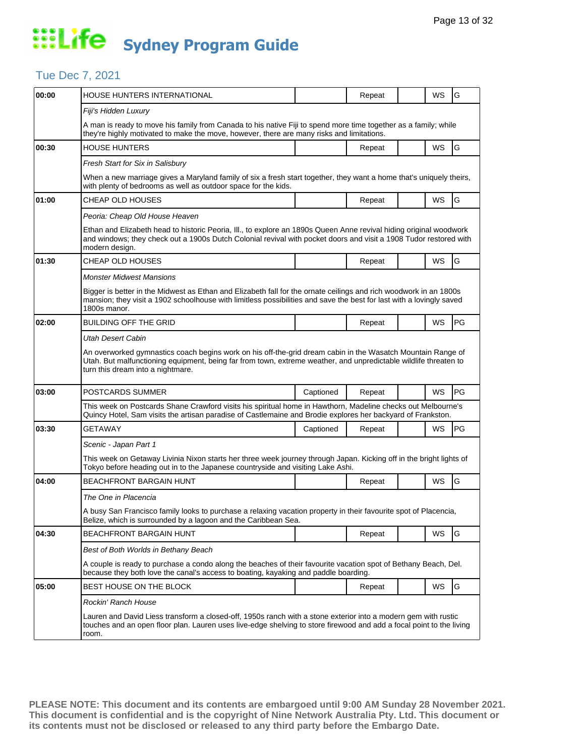## Tue Dec 7, 2021

| 00:00 | HOUSE HUNTERS INTERNATIONAL                                                                                                                                                                                                                                          |           | Repeat |  | WS        | G         |  |  |  |
|-------|----------------------------------------------------------------------------------------------------------------------------------------------------------------------------------------------------------------------------------------------------------------------|-----------|--------|--|-----------|-----------|--|--|--|
|       | Fiji's Hidden Luxury                                                                                                                                                                                                                                                 |           |        |  |           |           |  |  |  |
|       | A man is ready to move his family from Canada to his native Fiji to spend more time together as a family; while<br>they're highly motivated to make the move, however, there are many risks and limitations.                                                         |           |        |  |           |           |  |  |  |
| 00:30 | <b>HOUSE HUNTERS</b>                                                                                                                                                                                                                                                 |           | Repeat |  | WS        | G         |  |  |  |
|       | Fresh Start for Six in Salisbury                                                                                                                                                                                                                                     |           |        |  |           |           |  |  |  |
|       | When a new marriage gives a Maryland family of six a fresh start together, they want a home that's uniquely theirs,<br>with plenty of bedrooms as well as outdoor space for the kids.                                                                                |           |        |  |           |           |  |  |  |
| 01:00 | CHEAP OLD HOUSES                                                                                                                                                                                                                                                     |           | Repeat |  | WS        | G         |  |  |  |
|       | Peoria: Cheap Old House Heaven                                                                                                                                                                                                                                       |           |        |  |           |           |  |  |  |
|       | Ethan and Elizabeth head to historic Peoria, III., to explore an 1890s Queen Anne revival hiding original woodwork<br>and windows; they check out a 1900s Dutch Colonial revival with pocket doors and visit a 1908 Tudor restored with<br>modern design.            |           |        |  |           |           |  |  |  |
| 01:30 | CHEAP OLD HOUSES                                                                                                                                                                                                                                                     |           | Repeat |  | WS        | G         |  |  |  |
|       | <b>Monster Midwest Mansions</b>                                                                                                                                                                                                                                      |           |        |  |           |           |  |  |  |
|       | Bigger is better in the Midwest as Ethan and Elizabeth fall for the ornate ceilings and rich woodwork in an 1800s<br>mansion; they visit a 1902 schoolhouse with limitless possibilities and save the best for last with a lovingly saved<br>1800s manor.            |           |        |  |           |           |  |  |  |
| 02:00 | BUILDING OFF THE GRID                                                                                                                                                                                                                                                |           | Repeat |  | WS        | PG        |  |  |  |
|       | Utah Desert Cabin                                                                                                                                                                                                                                                    |           |        |  |           |           |  |  |  |
|       | An overworked gymnastics coach begins work on his off-the-grid dream cabin in the Wasatch Mountain Range of<br>Utah. But malfunctioning equipment, being far from town, extreme weather, and unpredictable wildlife threaten to<br>turn this dream into a nightmare. |           |        |  |           |           |  |  |  |
| 03:00 | POSTCARDS SUMMER                                                                                                                                                                                                                                                     | Captioned | Repeat |  | WS        | PG        |  |  |  |
|       | This week on Postcards Shane Crawford visits his spiritual home in Hawthorn, Madeline checks out Melbourne's<br>Quincy Hotel, Sam visits the artisan paradise of Castlemaine and Brodie explores her backyard of Frankston.                                          |           |        |  |           |           |  |  |  |
| 03:30 | GETAWAY                                                                                                                                                                                                                                                              | Captioned | Repeat |  | WS        | <b>PG</b> |  |  |  |
|       | Scenic - Japan Part 1                                                                                                                                                                                                                                                |           |        |  |           |           |  |  |  |
|       | This week on Getaway Livinia Nixon starts her three week journey through Japan. Kicking off in the bright lights of<br>Tokyo before heading out in to the Japanese countryside and visiting Lake Ashi.                                                               |           |        |  |           |           |  |  |  |
| 04:00 | BEACHFRONT BARGAIN HUNT                                                                                                                                                                                                                                              |           | Repeat |  | <b>WS</b> | G         |  |  |  |
|       | The One in Placencia                                                                                                                                                                                                                                                 |           |        |  |           |           |  |  |  |
|       | A busy San Francisco family looks to purchase a relaxing vacation property in their favourite spot of Placencia<br>Belize, which is surrounded by a lagoon and the Caribbean Sea.                                                                                    |           |        |  |           |           |  |  |  |
| 04:30 | BEACHFRONT BARGAIN HUNT                                                                                                                                                                                                                                              |           | Repeat |  | WS        | G         |  |  |  |
|       | Best of Both Worlds in Bethany Beach                                                                                                                                                                                                                                 |           |        |  |           |           |  |  |  |
|       | A couple is ready to purchase a condo along the beaches of their favourite vacation spot of Bethany Beach, Del.<br>because they both love the canal's access to boating, kayaking and paddle boarding.                                                               |           |        |  |           |           |  |  |  |
| 05:00 | BEST HOUSE ON THE BLOCK                                                                                                                                                                                                                                              |           | Repeat |  | WS        | G         |  |  |  |
|       | Rockin' Ranch House                                                                                                                                                                                                                                                  |           |        |  |           |           |  |  |  |
|       | Lauren and David Liess transform a closed-off, 1950s ranch with a stone exterior into a modern gem with rustic<br>touches and an open floor plan. Lauren uses live-edge shelving to store firewood and add a focal point to the living<br>room.                      |           |        |  |           |           |  |  |  |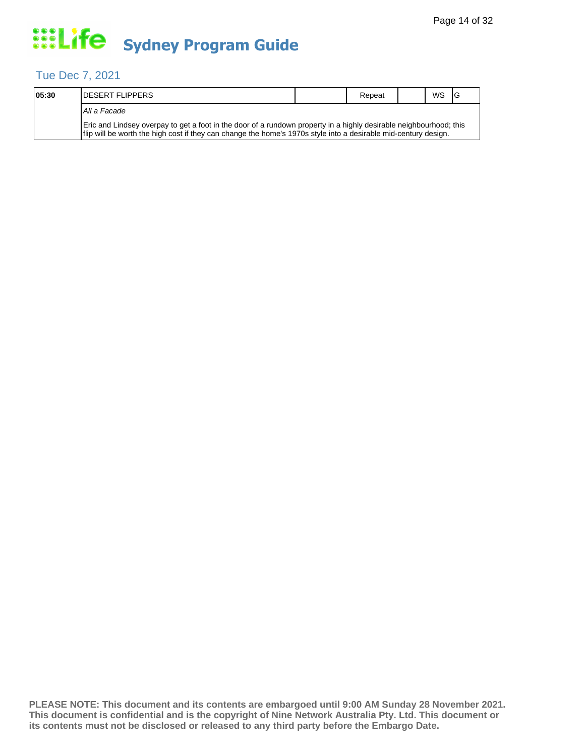## Tue Dec 7, 2021

| 05:30 | <b>IDESERT FLIPPERS</b>                                                                                                                                                                                                                 | Repeat | <b>WS</b> | - IG |
|-------|-----------------------------------------------------------------------------------------------------------------------------------------------------------------------------------------------------------------------------------------|--------|-----------|------|
|       | All a Facade                                                                                                                                                                                                                            |        |           |      |
|       | Eric and Lindsey overpay to get a foot in the door of a rundown property in a highly desirable neighbourhood; this<br>If lip will be worth the high cost if they can change the home's 1970s style into a desirable mid-century design. |        |           |      |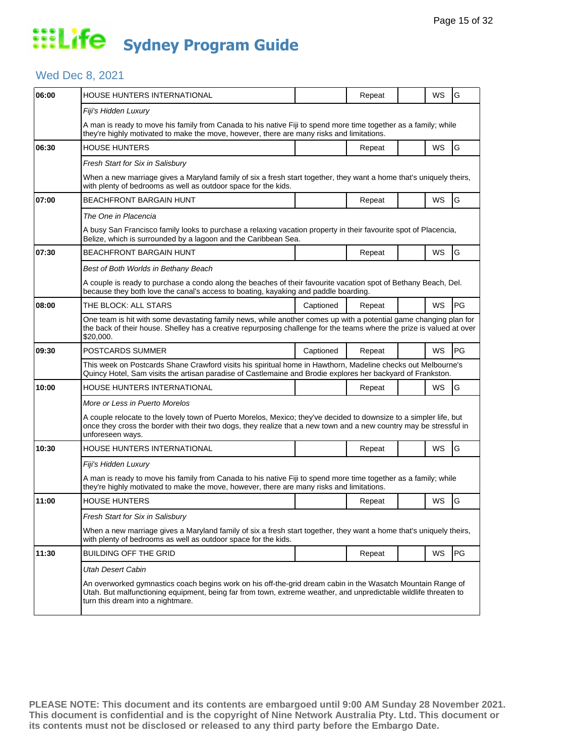## Wed Dec 8, 2021

| 06:00 | <b>HOUSE HUNTERS INTERNATIONAL</b>                                                                                                                                                                                                                                   |           | Repeat |  | WS | G         |  |  |
|-------|----------------------------------------------------------------------------------------------------------------------------------------------------------------------------------------------------------------------------------------------------------------------|-----------|--------|--|----|-----------|--|--|
|       | Fiji's Hidden Luxury                                                                                                                                                                                                                                                 |           |        |  |    |           |  |  |
|       | A man is ready to move his family from Canada to his native Fiji to spend more time together as a family; while<br>they're highly motivated to make the move, however, there are many risks and limitations.                                                         |           |        |  |    |           |  |  |
| 06:30 | <b>HOUSE HUNTERS</b>                                                                                                                                                                                                                                                 |           | Repeat |  | WS | G         |  |  |
|       | Fresh Start for Six in Salisbury                                                                                                                                                                                                                                     |           |        |  |    |           |  |  |
|       | When a new marriage gives a Maryland family of six a fresh start together, they want a home that's uniquely theirs,<br>with plenty of bedrooms as well as outdoor space for the kids.                                                                                |           |        |  |    |           |  |  |
| 07:00 | <b>BEACHFRONT BARGAIN HUNT</b>                                                                                                                                                                                                                                       |           | Repeat |  | WS | G         |  |  |
|       | The One in Placencia                                                                                                                                                                                                                                                 |           |        |  |    |           |  |  |
|       | A busy San Francisco family looks to purchase a relaxing vacation property in their favourite spot of Placencia,<br>Belize, which is surrounded by a lagoon and the Caribbean Sea.                                                                                   |           |        |  |    |           |  |  |
| 07:30 | <b>BEACHFRONT BARGAIN HUNT</b>                                                                                                                                                                                                                                       |           | Repeat |  | WS | G         |  |  |
|       | Best of Both Worlds in Bethany Beach                                                                                                                                                                                                                                 |           |        |  |    |           |  |  |
|       | A couple is ready to purchase a condo along the beaches of their favourite vacation spot of Bethany Beach, Del.<br>because they both love the canal's access to boating, kayaking and paddle boarding.                                                               |           |        |  |    |           |  |  |
| 08:00 | THE BLOCK: ALL STARS                                                                                                                                                                                                                                                 | Captioned | Repeat |  | WS | <b>PG</b> |  |  |
|       | One team is hit with some devastating family news, while another comes up with a potential game changing plan for<br>the back of their house. Shelley has a creative repurposing challenge for the teams where the prize is valued at over<br>\$20,000.              |           |        |  |    |           |  |  |
| 09:30 | POSTCARDS SUMMER                                                                                                                                                                                                                                                     | Captioned | Repeat |  | WS | l PG      |  |  |
|       | This week on Postcards Shane Crawford visits his spiritual home in Hawthorn, Madeline checks out Melbourne's<br>Quincy Hotel, Sam visits the artisan paradise of Castlemaine and Brodie explores her backyard of Frankston.                                          |           |        |  |    |           |  |  |
| 10:00 | HOUSE HUNTERS INTERNATIONAL                                                                                                                                                                                                                                          |           | Repeat |  | WS | G         |  |  |
|       | More or Less in Puerto Morelos                                                                                                                                                                                                                                       |           |        |  |    |           |  |  |
|       | A couple relocate to the lovely town of Puerto Morelos, Mexico; they've decided to downsize to a simpler life, but<br>once they cross the border with their two dogs, they realize that a new town and a new country may be stressful in<br>unforeseen ways.         |           |        |  |    |           |  |  |
| 10:30 | HOUSE HUNTERS INTERNATIONAL                                                                                                                                                                                                                                          |           | Repeat |  | WS | G         |  |  |
|       | Fiji's Hidden Luxury                                                                                                                                                                                                                                                 |           |        |  |    |           |  |  |
|       | A man is ready to move his family from Canada to his native Fiji to spend more time together as a family; while<br>they're highly motivated to make the move, however, there are many risks and limitations.                                                         |           |        |  |    |           |  |  |
| 11:00 | <b>HOUSE HUNTERS</b>                                                                                                                                                                                                                                                 |           | Repeat |  | WS | G         |  |  |
|       | Fresh Start for Six in Salisbury                                                                                                                                                                                                                                     |           |        |  |    |           |  |  |
|       | When a new marriage gives a Maryland family of six a fresh start together, they want a home that's uniquely theirs,<br>with plenty of bedrooms as well as outdoor space for the kids.                                                                                |           |        |  |    |           |  |  |
| 11:30 | <b>BUILDING OFF THE GRID</b>                                                                                                                                                                                                                                         |           | Repeat |  | WS | PG        |  |  |
|       | <b>Utah Desert Cabin</b>                                                                                                                                                                                                                                             |           |        |  |    |           |  |  |
|       | An overworked gymnastics coach begins work on his off-the-grid dream cabin in the Wasatch Mountain Range of<br>Utah. But malfunctioning equipment, being far from town, extreme weather, and unpredictable wildlife threaten to<br>turn this dream into a nightmare. |           |        |  |    |           |  |  |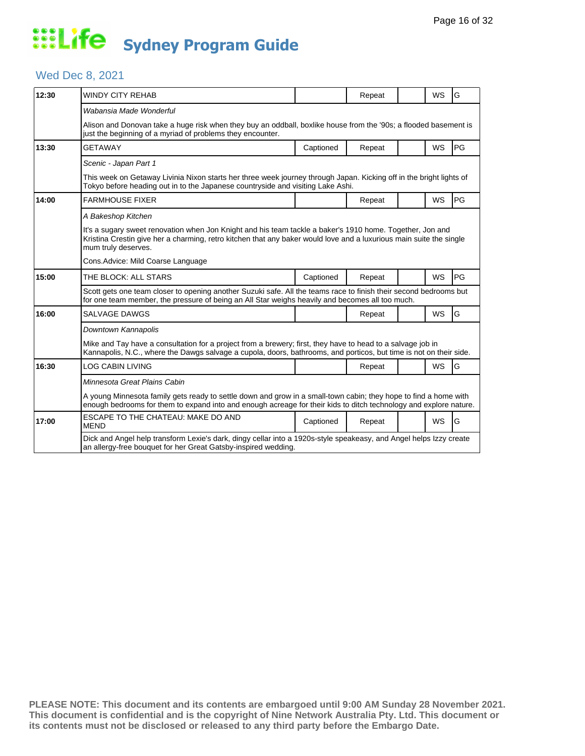## Wed Dec 8, 2021

| 12:30 | WINDY CITY REHAB                                                                                                                                                                                                                                        |           | Repeat |  | WS        | G         |  |  |  |
|-------|---------------------------------------------------------------------------------------------------------------------------------------------------------------------------------------------------------------------------------------------------------|-----------|--------|--|-----------|-----------|--|--|--|
|       | Wabansia Made Wonderful                                                                                                                                                                                                                                 |           |        |  |           |           |  |  |  |
|       | Alison and Donovan take a huge risk when they buy an oddball, boxlike house from the '90s; a flooded basement is<br>just the beginning of a myriad of problems they encounter.                                                                          |           |        |  |           |           |  |  |  |
| 13:30 | GETAWAY                                                                                                                                                                                                                                                 | Captioned | Repeat |  | <b>WS</b> | PG        |  |  |  |
|       | Scenic - Japan Part 1                                                                                                                                                                                                                                   |           |        |  |           |           |  |  |  |
|       | This week on Getaway Livinia Nixon starts her three week journey through Japan. Kicking off in the bright lights of<br>Tokyo before heading out in to the Japanese countryside and visiting Lake Ashi.                                                  |           |        |  |           |           |  |  |  |
| 14:00 | <b>FARMHOUSE FIXER</b>                                                                                                                                                                                                                                  |           | Repeat |  | <b>WS</b> | PG        |  |  |  |
|       | A Bakeshop Kitchen                                                                                                                                                                                                                                      |           |        |  |           |           |  |  |  |
|       | It's a sugary sweet renovation when Jon Knight and his team tackle a baker's 1910 home. Together, Jon and<br>Kristina Crestin give her a charming, retro kitchen that any baker would love and a luxurious main suite the single<br>mum truly deserves. |           |        |  |           |           |  |  |  |
|       | Cons.Advice: Mild Coarse Language                                                                                                                                                                                                                       |           |        |  |           |           |  |  |  |
| 15:00 | THE BLOCK: ALL STARS                                                                                                                                                                                                                                    | Captioned | Repeat |  | <b>WS</b> | <b>PG</b> |  |  |  |
|       | Scott gets one team closer to opening another Suzuki safe. All the teams race to finish their second bedrooms but<br>for one team member, the pressure of being an All Star weighs heavily and becomes all too much.                                    |           |        |  |           |           |  |  |  |
| 16:00 | SALVAGE DAWGS                                                                                                                                                                                                                                           |           | Repeat |  | <b>WS</b> | G         |  |  |  |
|       | Downtown Kannapolis                                                                                                                                                                                                                                     |           |        |  |           |           |  |  |  |
|       | Mike and Tay have a consultation for a project from a brewery; first, they have to head to a salvage job in<br>Kannapolis, N.C., where the Dawgs salvage a cupola, doors, bathrooms, and porticos, but time is not on their side.                       |           |        |  |           |           |  |  |  |
| 16:30 | LOG CABIN LIVING                                                                                                                                                                                                                                        |           | Repeat |  | <b>WS</b> | G         |  |  |  |
|       | Minnesota Great Plains Cabin                                                                                                                                                                                                                            |           |        |  |           |           |  |  |  |
|       | A young Minnesota family gets ready to settle down and grow in a small-town cabin; they hope to find a home with<br>enough bedrooms for them to expand into and enough acreage for their kids to ditch technology and explore nature.                   |           |        |  |           |           |  |  |  |
| 17:00 | ESCAPE TO THE CHATEAU: MAKE DO AND<br><b>MEND</b>                                                                                                                                                                                                       | Captioned | Repeat |  | <b>WS</b> | G         |  |  |  |
|       | Dick and Angel help transform Lexie's dark, dingy cellar into a 1920s-style speakeasy, and Angel helps Izzy create<br>an allergy-free bouquet for her Great Gatsby-inspired wedding.                                                                    |           |        |  |           |           |  |  |  |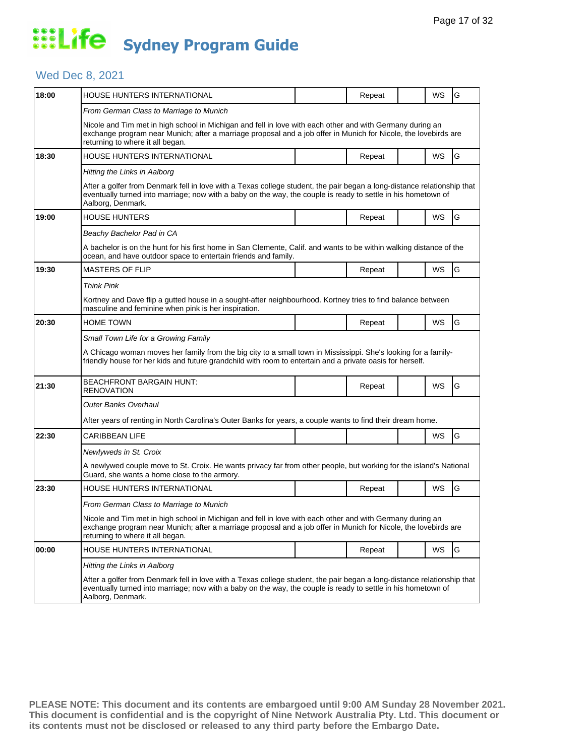## Wed Dec 8, 2021

| 18:00 | HOUSE HUNTERS INTERNATIONAL                                                                                                                                                                                                                                      |  | Repeat |  | WS | G |  |  |  |
|-------|------------------------------------------------------------------------------------------------------------------------------------------------------------------------------------------------------------------------------------------------------------------|--|--------|--|----|---|--|--|--|
|       | From German Class to Marriage to Munich                                                                                                                                                                                                                          |  |        |  |    |   |  |  |  |
|       | Nicole and Tim met in high school in Michigan and fell in love with each other and with Germany during an<br>exchange program near Munich; after a marriage proposal and a job offer in Munich for Nicole, the lovebirds are<br>returning to where it all began. |  |        |  |    |   |  |  |  |
| 18:30 | HOUSE HUNTERS INTERNATIONAL                                                                                                                                                                                                                                      |  | Repeat |  | WS | G |  |  |  |
|       | Hitting the Links in Aalborg                                                                                                                                                                                                                                     |  |        |  |    |   |  |  |  |
|       | After a golfer from Denmark fell in love with a Texas college student, the pair began a long-distance relationship that<br>eventually turned into marriage; now with a baby on the way, the couple is ready to settle in his hometown of<br>Aalborg, Denmark.    |  |        |  |    |   |  |  |  |
| 19:00 | HOUSE HUNTERS                                                                                                                                                                                                                                                    |  | Repeat |  | WS | G |  |  |  |
|       | Beachy Bachelor Pad in CA                                                                                                                                                                                                                                        |  |        |  |    |   |  |  |  |
|       | A bachelor is on the hunt for his first home in San Clemente, Calif. and wants to be within walking distance of the<br>ocean, and have outdoor space to entertain friends and family.                                                                            |  |        |  |    |   |  |  |  |
| 19:30 | <b>MASTERS OF FLIP</b>                                                                                                                                                                                                                                           |  | Repeat |  | WS | G |  |  |  |
|       | <b>Think Pink</b>                                                                                                                                                                                                                                                |  |        |  |    |   |  |  |  |
|       | Kortney and Dave flip a gutted house in a sought-after neighbourhood. Kortney tries to find balance between<br>masculine and feminine when pink is her inspiration.                                                                                              |  |        |  |    |   |  |  |  |
| 20:30 | <b>HOME TOWN</b>                                                                                                                                                                                                                                                 |  | Repeat |  | WS | G |  |  |  |
|       | Small Town Life for a Growing Family                                                                                                                                                                                                                             |  |        |  |    |   |  |  |  |
|       | A Chicago woman moves her family from the big city to a small town in Mississippi. She's looking for a family-<br>friendly house for her kids and future grandchild with room to entertain and a private oasis for herself.                                      |  |        |  |    |   |  |  |  |
| 21:30 | <b>BEACHFRONT BARGAIN HUNT:</b><br><b>RENOVATION</b>                                                                                                                                                                                                             |  | Repeat |  | WS | G |  |  |  |
|       | Outer Banks Overhaul                                                                                                                                                                                                                                             |  |        |  |    |   |  |  |  |
|       | After years of renting in North Carolina's Outer Banks for years, a couple wants to find their dream home.                                                                                                                                                       |  |        |  |    |   |  |  |  |
| 22:30 | CARIBBEAN LIFE                                                                                                                                                                                                                                                   |  |        |  | WS | G |  |  |  |
|       | Newlyweds in St. Croix                                                                                                                                                                                                                                           |  |        |  |    |   |  |  |  |
|       | A newlywed couple move to St. Croix. He wants privacy far from other people, but working for the island's National<br>Guard, she wants a home close to the armory.                                                                                               |  |        |  |    |   |  |  |  |
| 23:30 | HOUSE HUNTERS INTERNATIONAL                                                                                                                                                                                                                                      |  | Repeat |  | WS | G |  |  |  |
|       | From German Class to Marriage to Munich                                                                                                                                                                                                                          |  |        |  |    |   |  |  |  |
|       | Nicole and Tim met in high school in Michigan and fell in love with each other and with Germany during an<br>exchange program near Munich; after a marriage proposal and a job offer in Munich for Nicole, the lovebirds are<br>returning to where it all began. |  |        |  |    |   |  |  |  |
| 00:00 | HOUSE HUNTERS INTERNATIONAL                                                                                                                                                                                                                                      |  | Repeat |  | WS | G |  |  |  |
|       | Hitting the Links in Aalborg                                                                                                                                                                                                                                     |  |        |  |    |   |  |  |  |
|       | After a golfer from Denmark fell in love with a Texas college student, the pair began a long-distance relationship that<br>eventually turned into marriage; now with a baby on the way, the couple is ready to settle in his hometown of<br>Aalborg, Denmark.    |  |        |  |    |   |  |  |  |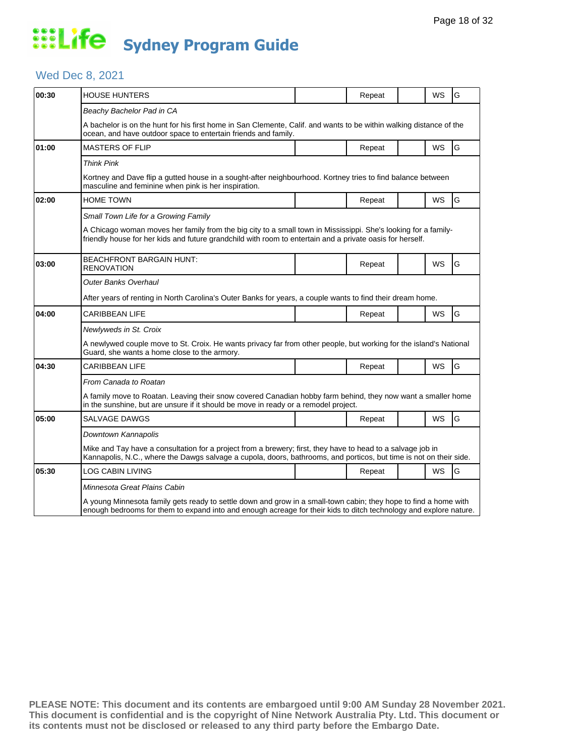## Wed Dec 8, 2021

| 00:30 | <b>HOUSE HUNTERS</b>                                                                                                                                                                                                                  |  | Repeat |  | WS        | G |  |  |
|-------|---------------------------------------------------------------------------------------------------------------------------------------------------------------------------------------------------------------------------------------|--|--------|--|-----------|---|--|--|
|       | Beachy Bachelor Pad in CA                                                                                                                                                                                                             |  |        |  |           |   |  |  |
|       | A bachelor is on the hunt for his first home in San Clemente, Calif. and wants to be within walking distance of the<br>ocean, and have outdoor space to entertain friends and family.                                                 |  |        |  |           |   |  |  |
| 01:00 | <b>MASTERS OF FLIP</b>                                                                                                                                                                                                                |  | Repeat |  | <b>WS</b> | G |  |  |
|       | <b>Think Pink</b>                                                                                                                                                                                                                     |  |        |  |           |   |  |  |
|       | Kortney and Dave flip a gutted house in a sought-after neighbourhood. Kortney tries to find balance between<br>masculine and feminine when pink is her inspiration.                                                                   |  |        |  |           |   |  |  |
| 02:00 | <b>HOME TOWN</b>                                                                                                                                                                                                                      |  | Repeat |  | WS        | G |  |  |
|       | Small Town Life for a Growing Family                                                                                                                                                                                                  |  |        |  |           |   |  |  |
|       | A Chicago woman moves her family from the big city to a small town in Mississippi. She's looking for a family-<br>friendly house for her kids and future grandchild with room to entertain and a private oasis for herself.           |  |        |  |           |   |  |  |
| 03:00 | <b>BEACHFRONT BARGAIN HUNT:</b><br><b>RENOVATION</b>                                                                                                                                                                                  |  | Repeat |  | WS        | G |  |  |
|       | <b>Outer Banks Overhaul</b>                                                                                                                                                                                                           |  |        |  |           |   |  |  |
|       | After years of renting in North Carolina's Outer Banks for years, a couple wants to find their dream home.                                                                                                                            |  |        |  |           |   |  |  |
| 04:00 | <b>CARIBBEAN LIFE</b>                                                                                                                                                                                                                 |  | Repeat |  | <b>WS</b> | G |  |  |
|       | Newlyweds in St. Croix                                                                                                                                                                                                                |  |        |  |           |   |  |  |
|       | A newlywed couple move to St. Croix. He wants privacy far from other people, but working for the island's National<br>Guard, she wants a home close to the armory.                                                                    |  |        |  |           |   |  |  |
| 04:30 | <b>CARIBBEAN LIFE</b>                                                                                                                                                                                                                 |  | Repeat |  | WS        | G |  |  |
|       | From Canada to Roatan                                                                                                                                                                                                                 |  |        |  |           |   |  |  |
|       | A family move to Roatan. Leaving their snow covered Canadian hobby farm behind, they now want a smaller home<br>in the sunshine, but are unsure if it should be move in ready or a remodel project.                                   |  |        |  |           |   |  |  |
| 05:00 | <b>SALVAGE DAWGS</b>                                                                                                                                                                                                                  |  | Repeat |  | <b>WS</b> | G |  |  |
|       | Downtown Kannapolis                                                                                                                                                                                                                   |  |        |  |           |   |  |  |
|       | Mike and Tay have a consultation for a project from a brewery; first, they have to head to a salvage job in<br>Kannapolis, N.C., where the Dawgs salvage a cupola, doors, bathrooms, and porticos, but time is not on their side.     |  |        |  |           |   |  |  |
| 05:30 | LOG CABIN LIVING                                                                                                                                                                                                                      |  | Repeat |  | WS        | G |  |  |
|       | Minnesota Great Plains Cabin                                                                                                                                                                                                          |  |        |  |           |   |  |  |
|       | A young Minnesota family gets ready to settle down and grow in a small-town cabin; they hope to find a home with<br>enough bedrooms for them to expand into and enough acreage for their kids to ditch technology and explore nature. |  |        |  |           |   |  |  |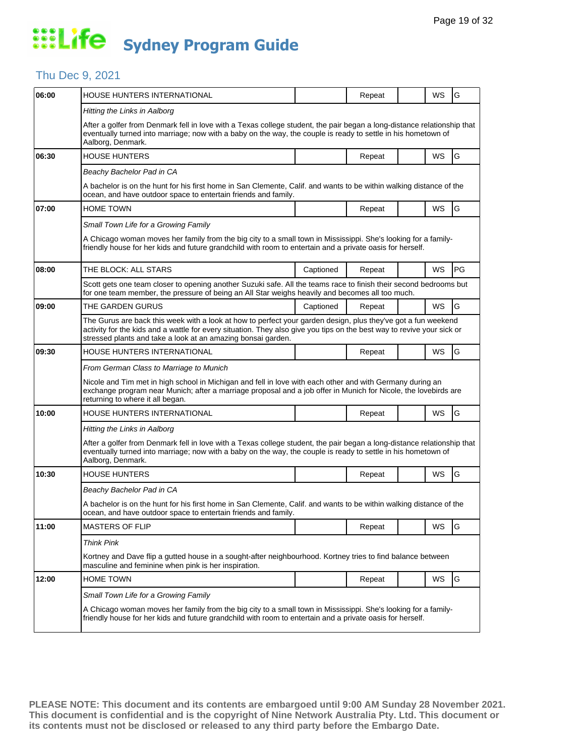### Thu Dec 9, 2021

| 06:00 | HOUSE HUNTERS INTERNATIONAL                                                                                                                                                                                                                                                                             |           | Repeat |  | WS | G  |  |  |  |
|-------|---------------------------------------------------------------------------------------------------------------------------------------------------------------------------------------------------------------------------------------------------------------------------------------------------------|-----------|--------|--|----|----|--|--|--|
|       | Hitting the Links in Aalborg                                                                                                                                                                                                                                                                            |           |        |  |    |    |  |  |  |
|       | After a golfer from Denmark fell in love with a Texas college student, the pair began a long-distance relationship that<br>eventually turned into marriage; now with a baby on the way, the couple is ready to settle in his hometown of<br>Aalborg, Denmark.                                           |           |        |  |    |    |  |  |  |
| 06:30 | <b>HOUSE HUNTERS</b>                                                                                                                                                                                                                                                                                    |           | Repeat |  | WS | G  |  |  |  |
|       | Beachy Bachelor Pad in CA                                                                                                                                                                                                                                                                               |           |        |  |    |    |  |  |  |
|       | A bachelor is on the hunt for his first home in San Clemente, Calif. and wants to be within walking distance of the<br>ocean, and have outdoor space to entertain friends and family.                                                                                                                   |           |        |  |    |    |  |  |  |
| 07:00 | <b>HOME TOWN</b>                                                                                                                                                                                                                                                                                        |           | Repeat |  | WS | G  |  |  |  |
|       | Small Town Life for a Growing Family                                                                                                                                                                                                                                                                    |           |        |  |    |    |  |  |  |
|       | A Chicago woman moves her family from the big city to a small town in Mississippi. She's looking for a family-<br>friendly house for her kids and future grandchild with room to entertain and a private oasis for herself.                                                                             |           |        |  |    |    |  |  |  |
| 08:00 | THE BLOCK: ALL STARS                                                                                                                                                                                                                                                                                    | Captioned | Repeat |  | WS | PG |  |  |  |
|       | Scott gets one team closer to opening another Suzuki safe. All the teams race to finish their second bedrooms but<br>for one team member, the pressure of being an All Star weighs heavily and becomes all too much.                                                                                    |           |        |  |    |    |  |  |  |
| 09:00 | THE GARDEN GURUS                                                                                                                                                                                                                                                                                        | Captioned | Repeat |  | WS | G  |  |  |  |
|       | The Gurus are back this week with a look at how to perfect your garden design, plus they've got a fun weekend<br>activity for the kids and a wattle for every situation. They also give you tips on the best way to revive your sick or<br>stressed plants and take a look at an amazing bonsai garden. |           |        |  |    |    |  |  |  |
| 09:30 | HOUSE HUNTERS INTERNATIONAL                                                                                                                                                                                                                                                                             |           | Repeat |  | WS | G  |  |  |  |
|       | From German Class to Marriage to Munich                                                                                                                                                                                                                                                                 |           |        |  |    |    |  |  |  |
|       | Nicole and Tim met in high school in Michigan and fell in love with each other and with Germany during an<br>exchange program near Munich; after a marriage proposal and a job offer in Munich for Nicole, the lovebirds are<br>returning to where it all began.                                        |           |        |  |    |    |  |  |  |
| 10:00 | HOUSE HUNTERS INTERNATIONAL                                                                                                                                                                                                                                                                             |           | Repeat |  | WS | G  |  |  |  |
|       | Hitting the Links in Aalborg                                                                                                                                                                                                                                                                            |           |        |  |    |    |  |  |  |
|       | After a golfer from Denmark fell in love with a Texas college student, the pair began a long-distance relationship that<br>eventually turned into marriage; now with a baby on the way, the couple is ready to settle in his hometown of<br>Aalborg, Denmark.                                           |           |        |  |    |    |  |  |  |
| 10:30 | <b>HOUSE HUNTERS</b>                                                                                                                                                                                                                                                                                    |           | Repeat |  | WS | G  |  |  |  |
|       | Beachy Bachelor Pad in CA                                                                                                                                                                                                                                                                               |           |        |  |    |    |  |  |  |
|       | A bachelor is on the hunt for his first home in San Clemente, Calif. and wants to be within walking distance of the<br>ocean, and have outdoor space to entertain friends and family.                                                                                                                   |           |        |  |    |    |  |  |  |
| 11:00 | <b>MASTERS OF FLIP</b>                                                                                                                                                                                                                                                                                  |           | Repeat |  | WS | G  |  |  |  |
|       | <b>Think Pink</b>                                                                                                                                                                                                                                                                                       |           |        |  |    |    |  |  |  |
|       | Kortney and Dave flip a gutted house in a sought-after neighbourhood. Kortney tries to find balance between<br>masculine and feminine when pink is her inspiration.                                                                                                                                     |           |        |  |    |    |  |  |  |
| 12:00 | <b>HOME TOWN</b>                                                                                                                                                                                                                                                                                        |           | Repeat |  | WS | G  |  |  |  |
|       | Small Town Life for a Growing Family                                                                                                                                                                                                                                                                    |           |        |  |    |    |  |  |  |
|       | A Chicago woman moves her family from the big city to a small town in Mississippi. She's looking for a family-<br>friendly house for her kids and future grandchild with room to entertain and a private oasis for herself.                                                                             |           |        |  |    |    |  |  |  |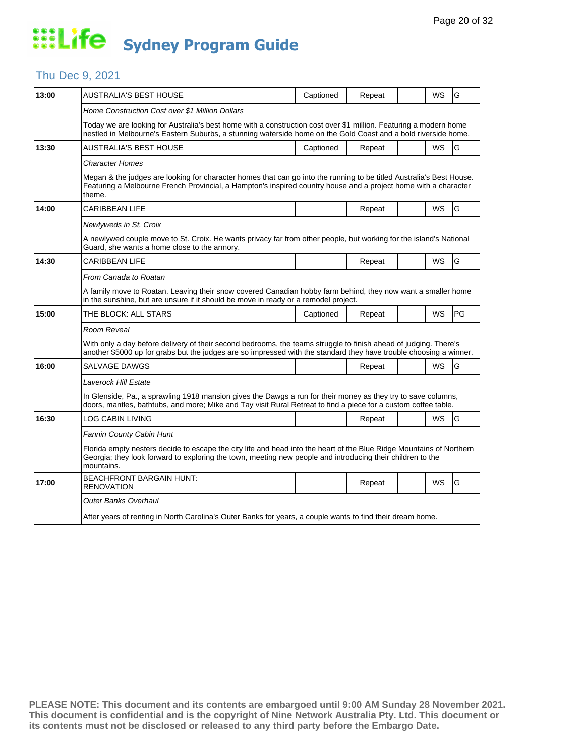#### Thu Dec 9, 2021

| 13:00 | AUSTRALIA'S BEST HOUSE                                                                                                                                                                                                                            | Captioned | Repeat |  | WS        | G  |  |  |  |
|-------|---------------------------------------------------------------------------------------------------------------------------------------------------------------------------------------------------------------------------------------------------|-----------|--------|--|-----------|----|--|--|--|
|       | Home Construction Cost over \$1 Million Dollars                                                                                                                                                                                                   |           |        |  |           |    |  |  |  |
|       | Today we are looking for Australia's best home with a construction cost over \$1 million. Featuring a modern home<br>nestled in Melbourne's Eastern Suburbs, a stunning waterside home on the Gold Coast and a bold riverside home.               |           |        |  |           |    |  |  |  |
| 13:30 | AUSTRALIA'S BEST HOUSE                                                                                                                                                                                                                            | Captioned | Repeat |  | WS        | G  |  |  |  |
|       | <b>Character Homes</b>                                                                                                                                                                                                                            |           |        |  |           |    |  |  |  |
|       | Megan & the judges are looking for character homes that can go into the running to be titled Australia's Best House.<br>Featuring a Melbourne French Provincial, a Hampton's inspired country house and a project home with a character<br>theme. |           |        |  |           |    |  |  |  |
| 14:00 | CARIBBEAN LIFE                                                                                                                                                                                                                                    |           | Repeat |  | WS        | G  |  |  |  |
|       | Newlyweds in St. Croix                                                                                                                                                                                                                            |           |        |  |           |    |  |  |  |
|       | A newlywed couple move to St. Croix. He wants privacy far from other people, but working for the island's National<br>Guard, she wants a home close to the armory.                                                                                |           |        |  |           |    |  |  |  |
| 14:30 | CARIBBEAN LIFE                                                                                                                                                                                                                                    |           | Repeat |  | <b>WS</b> | G  |  |  |  |
|       | From Canada to Roatan                                                                                                                                                                                                                             |           |        |  |           |    |  |  |  |
|       | A family move to Roatan. Leaving their snow covered Canadian hobby farm behind, they now want a smaller home<br>in the sunshine, but are unsure if it should be move in ready or a remodel project.                                               |           |        |  |           |    |  |  |  |
| 15:00 | THE BLOCK: ALL STARS                                                                                                                                                                                                                              | Captioned | Repeat |  | <b>WS</b> | PG |  |  |  |
|       | Room Reveal                                                                                                                                                                                                                                       |           |        |  |           |    |  |  |  |
|       | With only a day before delivery of their second bedrooms, the teams struggle to finish ahead of judging. There's<br>another \$5000 up for grabs but the judges are so impressed with the standard they have trouble choosing a winner.            |           |        |  |           |    |  |  |  |
| 16:00 | SALVAGE DAWGS                                                                                                                                                                                                                                     |           | Repeat |  | <b>WS</b> | G  |  |  |  |
|       | Laverock Hill Estate                                                                                                                                                                                                                              |           |        |  |           |    |  |  |  |
|       | In Glenside, Pa., a sprawling 1918 mansion gives the Dawgs a run for their money as they try to save columns,<br>doors, mantles, bathtubs, and more; Mike and Tay visit Rural Retreat to find a piece for a custom coffee table.                  |           |        |  |           |    |  |  |  |
| 16:30 | LOG CABIN LIVING                                                                                                                                                                                                                                  |           | Repeat |  | WS        | G  |  |  |  |
|       | Fannin County Cabin Hunt                                                                                                                                                                                                                          |           |        |  |           |    |  |  |  |
|       | Florida empty nesters decide to escape the city life and head into the heart of the Blue Ridge Mountains of Northern<br>Georgia; they look forward to exploring the town, meeting new people and introducing their children to the<br>mountains.  |           |        |  |           |    |  |  |  |
| 17:00 | <b>BEACHFRONT BARGAIN HUNT:</b><br><b>RENOVATION</b>                                                                                                                                                                                              |           | Repeat |  | WS        | G  |  |  |  |
|       | <b>Outer Banks Overhaul</b>                                                                                                                                                                                                                       |           |        |  |           |    |  |  |  |
|       | After years of renting in North Carolina's Outer Banks for years, a couple wants to find their dream home.                                                                                                                                        |           |        |  |           |    |  |  |  |
|       |                                                                                                                                                                                                                                                   |           |        |  |           |    |  |  |  |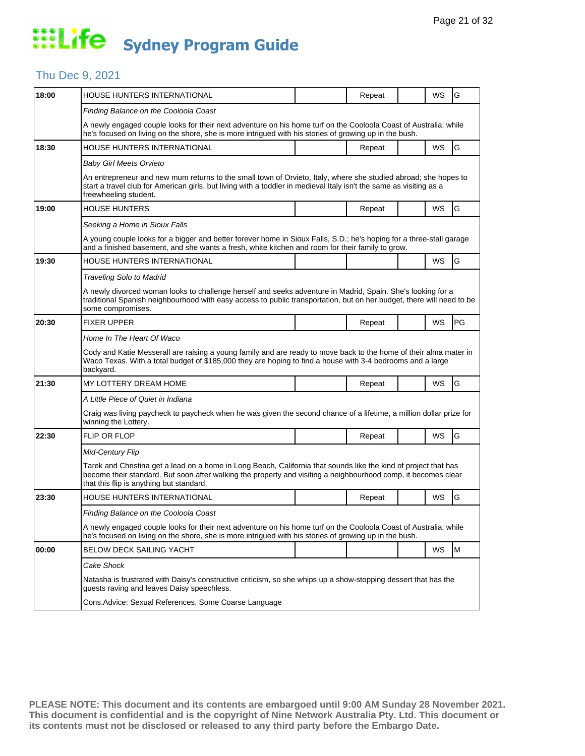### Thu Dec 9, 2021

| 18:00 | HOUSE HUNTERS INTERNATIONAL                                                                                                                                                                                                                                                    |  | Repeat |  | WS | G  |  |  |
|-------|--------------------------------------------------------------------------------------------------------------------------------------------------------------------------------------------------------------------------------------------------------------------------------|--|--------|--|----|----|--|--|
|       | Finding Balance on the Cooloola Coast                                                                                                                                                                                                                                          |  |        |  |    |    |  |  |
|       | A newly engaged couple looks for their next adventure on his home turf on the Cooloola Coast of Australia; while<br>he's focused on living on the shore, she is more intrigued with his stories of growing up in the bush.                                                     |  |        |  |    |    |  |  |
| 18:30 | HOUSE HUNTERS INTERNATIONAL                                                                                                                                                                                                                                                    |  | Repeat |  | WS | G  |  |  |
|       | Baby Girl Meets Orvieto                                                                                                                                                                                                                                                        |  |        |  |    |    |  |  |
|       | An entrepreneur and new mum returns to the small town of Orvieto, Italy, where she studied abroad; she hopes to<br>start a travel club for American girls, but living with a toddler in medieval Italy isn't the same as visiting as a<br>freewheeling student.                |  |        |  |    |    |  |  |
| 19:00 | <b>HOUSE HUNTERS</b>                                                                                                                                                                                                                                                           |  | Repeat |  | WS | G  |  |  |
|       | Seeking a Home in Sioux Falls                                                                                                                                                                                                                                                  |  |        |  |    |    |  |  |
|       | A young couple looks for a bigger and better forever home in Sioux Falls, S.D.; he's hoping for a three-stall garage<br>and a finished basement, and she wants a fresh, white kitchen and room for their family to grow.                                                       |  |        |  |    |    |  |  |
| 19:30 | HOUSE HUNTERS INTERNATIONAL                                                                                                                                                                                                                                                    |  |        |  | WS | G  |  |  |
|       | Traveling Solo to Madrid                                                                                                                                                                                                                                                       |  |        |  |    |    |  |  |
|       | A newly divorced woman looks to challenge herself and seeks adventure in Madrid, Spain. She's looking for a<br>traditional Spanish neighbourhood with easy access to public transportation, but on her budget, there will need to be<br>some compromises.                      |  |        |  |    |    |  |  |
| 20:30 | <b>FIXER UPPER</b>                                                                                                                                                                                                                                                             |  | Repeat |  | WS | PG |  |  |
|       | Home In The Heart Of Waco                                                                                                                                                                                                                                                      |  |        |  |    |    |  |  |
|       | Cody and Katie Messerall are raising a young family and are ready to move back to the home of their alma mater in<br>Waco Texas. With a total budget of \$185,000 they are hoping to find a house with 3-4 bedrooms and a large<br>backyard.                                   |  |        |  |    |    |  |  |
| 21:30 | MY LOTTERY DREAM HOME                                                                                                                                                                                                                                                          |  | Repeat |  | WS | G  |  |  |
|       | A Little Piece of Quiet in Indiana                                                                                                                                                                                                                                             |  |        |  |    |    |  |  |
|       | Craig was living paycheck to paycheck when he was given the second chance of a lifetime, a million dollar prize for<br>winning the Lottery.                                                                                                                                    |  |        |  |    |    |  |  |
| 22:30 | <b>FLIP OR FLOP</b>                                                                                                                                                                                                                                                            |  | Repeat |  | WS | G  |  |  |
|       | Mid-Century Flip                                                                                                                                                                                                                                                               |  |        |  |    |    |  |  |
|       | Tarek and Christina get a lead on a home in Long Beach, California that sounds like the kind of project that has<br>become their standard. But soon after walking the property and visiting a neighbourhood comp, it becomes clear<br>that this flip is anything but standard. |  |        |  |    |    |  |  |
| 23:30 | HOUSE HUNTERS INTERNATIONAL                                                                                                                                                                                                                                                    |  | Repeat |  | WS | G  |  |  |
|       | Finding Balance on the Cooloola Coast                                                                                                                                                                                                                                          |  |        |  |    |    |  |  |
|       | A newly engaged couple looks for their next adventure on his home turf on the Cooloola Coast of Australia; while<br>he's focused on living on the shore, she is more intrigued with his stories of growing up in the bush.                                                     |  |        |  |    |    |  |  |
| 00:00 | BELOW DECK SAILING YACHT                                                                                                                                                                                                                                                       |  |        |  | WS | M  |  |  |
|       | Cake Shock                                                                                                                                                                                                                                                                     |  |        |  |    |    |  |  |
|       |                                                                                                                                                                                                                                                                                |  |        |  |    |    |  |  |
|       | Natasha is frustrated with Daisy's constructive criticism, so she whips up a show-stopping dessert that has the<br>guests raving and leaves Daisy speechless.                                                                                                                  |  |        |  |    |    |  |  |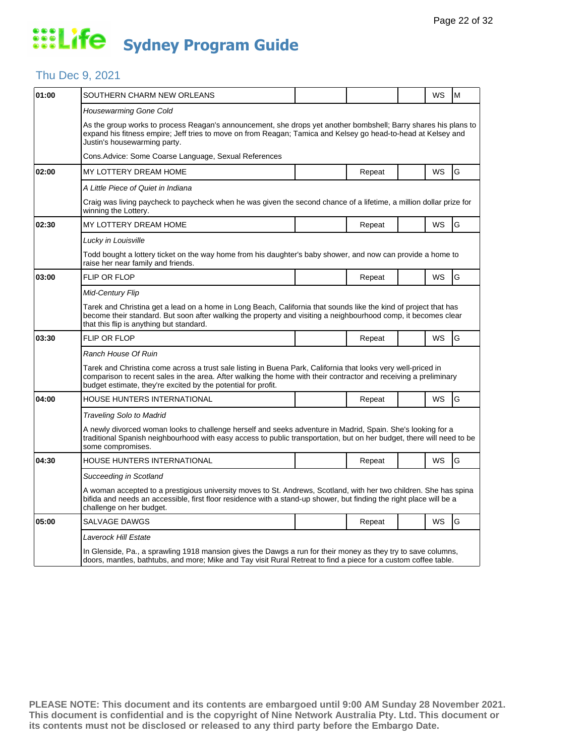### Thu Dec 9, 2021

| 01:00 | SOUTHERN CHARM NEW ORLEANS                                                                                                                                                                                                                                                                         |  |        |  | <b>WS</b> | M |  |  |
|-------|----------------------------------------------------------------------------------------------------------------------------------------------------------------------------------------------------------------------------------------------------------------------------------------------------|--|--------|--|-----------|---|--|--|
|       | Housewarming Gone Cold                                                                                                                                                                                                                                                                             |  |        |  |           |   |  |  |
|       | As the group works to process Reagan's announcement, she drops yet another bombshell; Barry shares his plans to<br>expand his fitness empire; Jeff tries to move on from Reagan; Tamica and Kelsey go head-to-head at Kelsey and<br>Justin's housewarming party.                                   |  |        |  |           |   |  |  |
|       | Cons.Advice: Some Coarse Language, Sexual References                                                                                                                                                                                                                                               |  |        |  |           |   |  |  |
| 02:00 | MY LOTTERY DREAM HOME                                                                                                                                                                                                                                                                              |  | Repeat |  | <b>WS</b> | G |  |  |
|       | A Little Piece of Quiet in Indiana                                                                                                                                                                                                                                                                 |  |        |  |           |   |  |  |
|       | Craig was living paycheck to paycheck when he was given the second chance of a lifetime, a million dollar prize for<br>winning the Lottery.                                                                                                                                                        |  |        |  |           |   |  |  |
| 02:30 | MY LOTTERY DREAM HOME                                                                                                                                                                                                                                                                              |  | Repeat |  | WS        | G |  |  |
|       | Lucky in Louisville                                                                                                                                                                                                                                                                                |  |        |  |           |   |  |  |
|       | Todd bought a lottery ticket on the way home from his daughter's baby shower, and now can provide a home to<br>raise her near family and friends.                                                                                                                                                  |  |        |  |           |   |  |  |
| 03:00 | FLIP OR FLOP                                                                                                                                                                                                                                                                                       |  | Repeat |  | <b>WS</b> | G |  |  |
|       | <b>Mid-Century Flip</b>                                                                                                                                                                                                                                                                            |  |        |  |           |   |  |  |
|       | Tarek and Christina get a lead on a home in Long Beach, California that sounds like the kind of project that has<br>become their standard. But soon after walking the property and visiting a neighbourhood comp, it becomes clear<br>that this flip is anything but standard.                     |  |        |  |           |   |  |  |
| 03:30 | <b>FLIP OR FLOP</b>                                                                                                                                                                                                                                                                                |  | Repeat |  | <b>WS</b> | G |  |  |
|       | Ranch House Of Ruin                                                                                                                                                                                                                                                                                |  |        |  |           |   |  |  |
|       | Tarek and Christina come across a trust sale listing in Buena Park, California that looks very well-priced in<br>comparison to recent sales in the area. After walking the home with their contractor and receiving a preliminary<br>budget estimate, they're excited by the potential for profit. |  |        |  |           |   |  |  |
| 04:00 | HOUSE HUNTERS INTERNATIONAL                                                                                                                                                                                                                                                                        |  | Repeat |  | <b>WS</b> | G |  |  |
|       | Traveling Solo to Madrid                                                                                                                                                                                                                                                                           |  |        |  |           |   |  |  |
|       | A newly divorced woman looks to challenge herself and seeks adventure in Madrid, Spain. She's looking for a<br>traditional Spanish neighbourhood with easy access to public transportation, but on her budget, there will need to be<br>some compromises.                                          |  |        |  |           |   |  |  |
| 04:30 | HOUSE HUNTERS INTERNATIONAL                                                                                                                                                                                                                                                                        |  | Repeat |  | WS        | G |  |  |
|       | Succeeding in Scotland                                                                                                                                                                                                                                                                             |  |        |  |           |   |  |  |
|       | A woman accepted to a prestigious university moves to St. Andrews, Scotland, with her two children. She has spina<br>bifida and needs an accessible, first floor residence with a stand-up shower, but finding the right place will be a<br>challenge on her budget.                               |  |        |  |           |   |  |  |
| 05:00 | SALVAGE DAWGS                                                                                                                                                                                                                                                                                      |  | Repeat |  | WS        | G |  |  |
|       | Laverock Hill Estate                                                                                                                                                                                                                                                                               |  |        |  |           |   |  |  |
|       | In Glenside, Pa., a sprawling 1918 mansion gives the Dawgs a run for their money as they try to save columns,<br>doors, mantles, bathtubs, and more; Mike and Tay visit Rural Retreat to find a piece for a custom coffee table.                                                                   |  |        |  |           |   |  |  |
|       |                                                                                                                                                                                                                                                                                                    |  |        |  |           |   |  |  |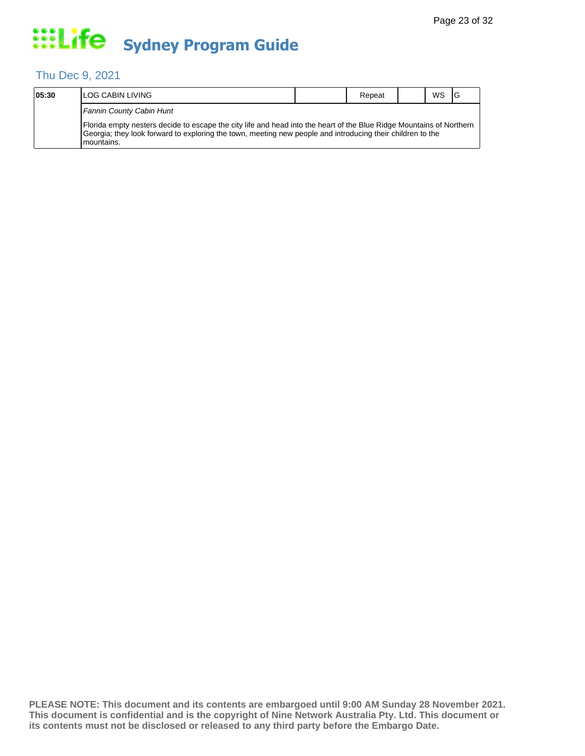## Thu Dec 9, 2021

| 05:30 | <b>ILOG CABIN LIVING</b>                                                                                                                                                                                                                            | Repeat | WS |  |
|-------|-----------------------------------------------------------------------------------------------------------------------------------------------------------------------------------------------------------------------------------------------------|--------|----|--|
|       | Fannin County Cabin Hunt                                                                                                                                                                                                                            |        |    |  |
|       | [Florida empty nesters decide to escape the city life and head into the heart of the Blue Ridge Mountains of Northern<br>Georgia; they look forward to exploring the town, meeting new people and introducing their children to the<br>I mountains. |        |    |  |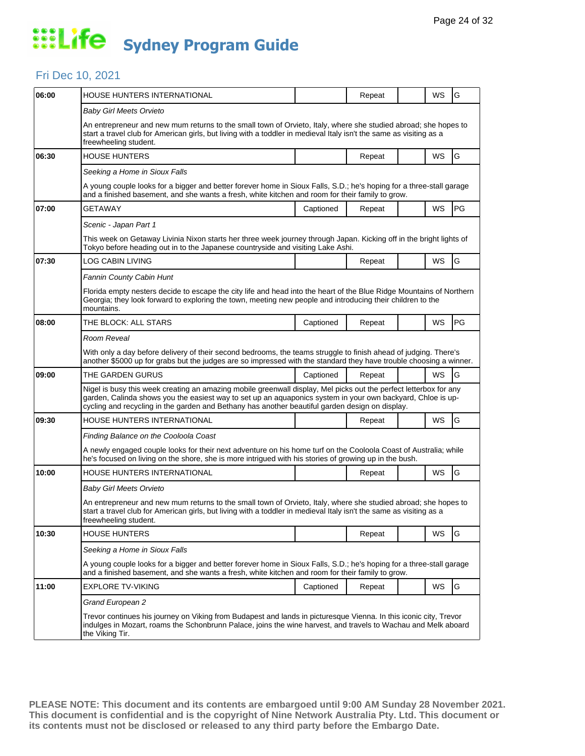### Fri Dec 10, 2021

| 06:00 | <b>HOUSE HUNTERS INTERNATIONAL</b>                                                                                                                                                                                                                                                                                                  |           | Repeat |  | <b>WS</b> | G  |  |  |  |
|-------|-------------------------------------------------------------------------------------------------------------------------------------------------------------------------------------------------------------------------------------------------------------------------------------------------------------------------------------|-----------|--------|--|-----------|----|--|--|--|
|       | Baby Girl Meets Orvieto                                                                                                                                                                                                                                                                                                             |           |        |  |           |    |  |  |  |
|       | An entrepreneur and new mum returns to the small town of Orvieto, Italy, where she studied abroad; she hopes to<br>start a travel club for American girls, but living with a toddler in medieval Italy isn't the same as visiting as a<br>freewheeling student.                                                                     |           |        |  |           |    |  |  |  |
| 06:30 | <b>HOUSE HUNTERS</b>                                                                                                                                                                                                                                                                                                                |           | Repeat |  | <b>WS</b> | G  |  |  |  |
|       | Seeking a Home in Sioux Falls                                                                                                                                                                                                                                                                                                       |           |        |  |           |    |  |  |  |
|       | A young couple looks for a bigger and better forever home in Sioux Falls, S.D.; he's hoping for a three-stall garage<br>and a finished basement, and she wants a fresh, white kitchen and room for their family to grow.                                                                                                            |           |        |  |           |    |  |  |  |
| 07:00 | GETAWAY                                                                                                                                                                                                                                                                                                                             | Captioned | Repeat |  | WS        | PG |  |  |  |
|       | Scenic - Japan Part 1                                                                                                                                                                                                                                                                                                               |           |        |  |           |    |  |  |  |
|       | This week on Getaway Livinia Nixon starts her three week journey through Japan. Kicking off in the bright lights of<br>Tokyo before heading out in to the Japanese countryside and visiting Lake Ashi.                                                                                                                              |           |        |  |           |    |  |  |  |
| 07:30 | LOG CABIN LIVING                                                                                                                                                                                                                                                                                                                    |           | Repeat |  | <b>WS</b> | G  |  |  |  |
|       | <b>Fannin County Cabin Hunt</b>                                                                                                                                                                                                                                                                                                     |           |        |  |           |    |  |  |  |
|       | Florida empty nesters decide to escape the city life and head into the heart of the Blue Ridge Mountains of Northern<br>Georgia; they look forward to exploring the town, meeting new people and introducing their children to the<br>mountains.                                                                                    |           |        |  |           |    |  |  |  |
| 08:00 | THE BLOCK: ALL STARS                                                                                                                                                                                                                                                                                                                | Captioned | Repeat |  | WS        | PG |  |  |  |
|       | Room Reveal                                                                                                                                                                                                                                                                                                                         |           |        |  |           |    |  |  |  |
|       | With only a day before delivery of their second bedrooms, the teams struggle to finish ahead of judging. There's<br>another \$5000 up for grabs but the judges are so impressed with the standard they have trouble choosing a winner.                                                                                              |           |        |  |           |    |  |  |  |
| 09:00 | THE GARDEN GURUS                                                                                                                                                                                                                                                                                                                    | Captioned | Repeat |  | WS        | G  |  |  |  |
|       | Nigel is busy this week creating an amazing mobile greenwall display, Mel picks out the perfect letterbox for any<br>garden, Calinda shows you the easiest way to set up an aquaponics system in your own backyard, Chloe is up-<br>cycling and recycling in the garden and Bethany has another beautiful garden design on display. |           |        |  |           |    |  |  |  |
| 09:30 | HOUSE HUNTERS INTERNATIONAL                                                                                                                                                                                                                                                                                                         |           | Repeat |  | WS        | G  |  |  |  |
|       | Finding Balance on the Cooloola Coast                                                                                                                                                                                                                                                                                               |           |        |  |           |    |  |  |  |
|       | A newly engaged couple looks for their next adventure on his home turf on the Cooloola Coast of Australia; while<br>he's focused on living on the shore, she is more intrigued with his stories of growing up in the bush.                                                                                                          |           |        |  |           |    |  |  |  |
| 10:00 | HOUSE HUNTERS INTERNATIONAL                                                                                                                                                                                                                                                                                                         |           | Repeat |  | <b>WS</b> | G  |  |  |  |
|       | <b>Baby Girl Meets Orvieto</b>                                                                                                                                                                                                                                                                                                      |           |        |  |           |    |  |  |  |
|       | An entrepreneur and new mum returns to the small town of Orvieto, Italy, where she studied abroad; she hopes to<br>start a travel club for American girls, but living with a toddler in medieval Italy isn't the same as visiting as a<br>freewheeling student.                                                                     |           |        |  |           |    |  |  |  |
| 10:30 | <b>HOUSE HUNTERS</b>                                                                                                                                                                                                                                                                                                                |           | Repeat |  | <b>WS</b> | G  |  |  |  |
|       | Seeking a Home in Sioux Falls                                                                                                                                                                                                                                                                                                       |           |        |  |           |    |  |  |  |
|       | A young couple looks for a bigger and better forever home in Sioux Falls, S.D.; he's hoping for a three-stall garage<br>and a finished basement, and she wants a fresh, white kitchen and room for their family to grow.                                                                                                            |           |        |  |           |    |  |  |  |
| 11:00 | <b>EXPLORE TV-VIKING</b>                                                                                                                                                                                                                                                                                                            | Captioned | Repeat |  | WS        | G  |  |  |  |
|       | Grand European 2                                                                                                                                                                                                                                                                                                                    |           |        |  |           |    |  |  |  |
|       | Trevor continues his journey on Viking from Budapest and lands in picturesque Vienna. In this iconic city, Trevor<br>indulges in Mozart, roams the Schonbrunn Palace, joins the wine harvest, and travels to Wachau and Melk aboard<br>the Viking Tir.                                                                              |           |        |  |           |    |  |  |  |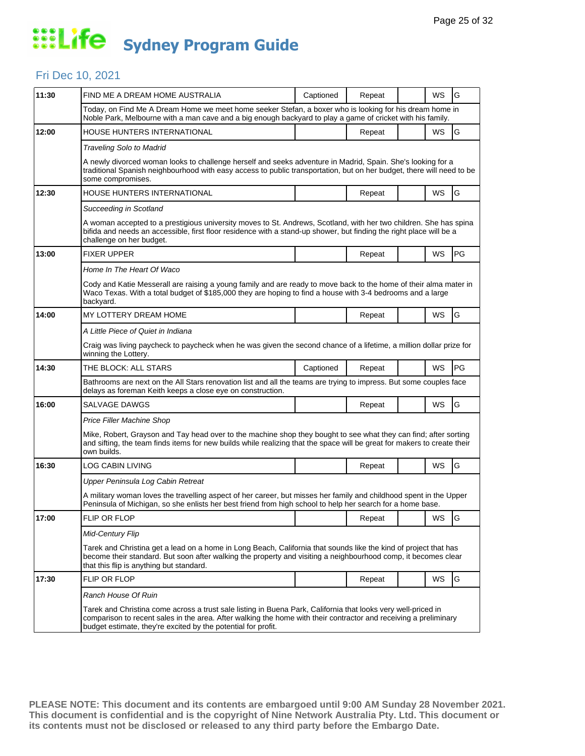## Fri Dec 10, 2021

| FIND ME A DREAM HOME AUSTRALIA                                                                                                                                                                                                                                                                     | Captioned                                | Repeat |  | WS        | G                                                                                                                                                                                                                                                                                                                                                                                                                                                                                                                                                                                   |  |  |  |
|----------------------------------------------------------------------------------------------------------------------------------------------------------------------------------------------------------------------------------------------------------------------------------------------------|------------------------------------------|--------|--|-----------|-------------------------------------------------------------------------------------------------------------------------------------------------------------------------------------------------------------------------------------------------------------------------------------------------------------------------------------------------------------------------------------------------------------------------------------------------------------------------------------------------------------------------------------------------------------------------------------|--|--|--|
|                                                                                                                                                                                                                                                                                                    |                                          |        |  |           |                                                                                                                                                                                                                                                                                                                                                                                                                                                                                                                                                                                     |  |  |  |
| HOUSE HUNTERS INTERNATIONAL                                                                                                                                                                                                                                                                        |                                          | Repeat |  | WS        | G                                                                                                                                                                                                                                                                                                                                                                                                                                                                                                                                                                                   |  |  |  |
| <b>Traveling Solo to Madrid</b>                                                                                                                                                                                                                                                                    |                                          |        |  |           |                                                                                                                                                                                                                                                                                                                                                                                                                                                                                                                                                                                     |  |  |  |
| some compromises.                                                                                                                                                                                                                                                                                  |                                          |        |  |           |                                                                                                                                                                                                                                                                                                                                                                                                                                                                                                                                                                                     |  |  |  |
| HOUSE HUNTERS INTERNATIONAL                                                                                                                                                                                                                                                                        |                                          | Repeat |  | WS        | G                                                                                                                                                                                                                                                                                                                                                                                                                                                                                                                                                                                   |  |  |  |
| Succeeding in Scotland                                                                                                                                                                                                                                                                             |                                          |        |  |           |                                                                                                                                                                                                                                                                                                                                                                                                                                                                                                                                                                                     |  |  |  |
| A woman accepted to a prestigious university moves to St. Andrews, Scotland, with her two children. She has spina<br>bifida and needs an accessible, first floor residence with a stand-up shower, but finding the right place will be a<br>challenge on her budget.                               |                                          |        |  |           |                                                                                                                                                                                                                                                                                                                                                                                                                                                                                                                                                                                     |  |  |  |
| <b>FIXER UPPER</b>                                                                                                                                                                                                                                                                                 |                                          | Repeat |  | WS        | PG                                                                                                                                                                                                                                                                                                                                                                                                                                                                                                                                                                                  |  |  |  |
| Home In The Heart Of Waco                                                                                                                                                                                                                                                                          |                                          |        |  |           |                                                                                                                                                                                                                                                                                                                                                                                                                                                                                                                                                                                     |  |  |  |
| Cody and Katie Messerall are raising a young family and are ready to move back to the home of their alma mater in<br>Waco Texas. With a total budget of \$185,000 they are hoping to find a house with 3-4 bedrooms and a large<br>backyard.                                                       |                                          |        |  |           |                                                                                                                                                                                                                                                                                                                                                                                                                                                                                                                                                                                     |  |  |  |
| MY LOTTERY DREAM HOME                                                                                                                                                                                                                                                                              |                                          | Repeat |  | WS        | G                                                                                                                                                                                                                                                                                                                                                                                                                                                                                                                                                                                   |  |  |  |
| A Little Piece of Quiet in Indiana                                                                                                                                                                                                                                                                 |                                          |        |  |           |                                                                                                                                                                                                                                                                                                                                                                                                                                                                                                                                                                                     |  |  |  |
| Craig was living paycheck to paycheck when he was given the second chance of a lifetime, a million dollar prize for<br>winning the Lottery.                                                                                                                                                        |                                          |        |  |           |                                                                                                                                                                                                                                                                                                                                                                                                                                                                                                                                                                                     |  |  |  |
| THE BLOCK: ALL STARS                                                                                                                                                                                                                                                                               | Captioned                                | Repeat |  | <b>WS</b> | PG                                                                                                                                                                                                                                                                                                                                                                                                                                                                                                                                                                                  |  |  |  |
| delays as foreman Keith keeps a close eye on construction.                                                                                                                                                                                                                                         |                                          |        |  |           |                                                                                                                                                                                                                                                                                                                                                                                                                                                                                                                                                                                     |  |  |  |
| SALVAGE DAWGS                                                                                                                                                                                                                                                                                      |                                          | Repeat |  | WS        | G                                                                                                                                                                                                                                                                                                                                                                                                                                                                                                                                                                                   |  |  |  |
| Price Filler Machine Shop                                                                                                                                                                                                                                                                          |                                          |        |  |           |                                                                                                                                                                                                                                                                                                                                                                                                                                                                                                                                                                                     |  |  |  |
| Mike, Robert, Grayson and Tay head over to the machine shop they bought to see what they can find; after sorting<br>and sifting, the team finds items for new builds while realizing that the space will be great for makers to create their<br>own builds.                                        |                                          |        |  |           |                                                                                                                                                                                                                                                                                                                                                                                                                                                                                                                                                                                     |  |  |  |
| LOG CABIN LIVING                                                                                                                                                                                                                                                                                   |                                          | Repeat |  | WS        | G                                                                                                                                                                                                                                                                                                                                                                                                                                                                                                                                                                                   |  |  |  |
| Upper Peninsula Log Cabin Retreat                                                                                                                                                                                                                                                                  |                                          |        |  |           |                                                                                                                                                                                                                                                                                                                                                                                                                                                                                                                                                                                     |  |  |  |
| A military woman loves the travelling aspect of her career, but misses her family and childhood spent in the Upper<br>Peninsula of Michigan, so she enlists her best friend from high school to help her search for a home base.                                                                   |                                          |        |  |           |                                                                                                                                                                                                                                                                                                                                                                                                                                                                                                                                                                                     |  |  |  |
| <b>FLIP OR FLOP</b>                                                                                                                                                                                                                                                                                |                                          | Repeat |  | WS        | IG                                                                                                                                                                                                                                                                                                                                                                                                                                                                                                                                                                                  |  |  |  |
| <b>Mid-Century Flip</b>                                                                                                                                                                                                                                                                            |                                          |        |  |           |                                                                                                                                                                                                                                                                                                                                                                                                                                                                                                                                                                                     |  |  |  |
| Tarek and Christina get a lead on a home in Long Beach, California that sounds like the kind of project that has<br>become their standard. But soon after walking the property and visiting a neighbourhood comp, it becomes clear                                                                 |                                          |        |  |           |                                                                                                                                                                                                                                                                                                                                                                                                                                                                                                                                                                                     |  |  |  |
| FLIP OR FLOP                                                                                                                                                                                                                                                                                       |                                          | Repeat |  | WS        | G                                                                                                                                                                                                                                                                                                                                                                                                                                                                                                                                                                                   |  |  |  |
| Ranch House Of Ruin                                                                                                                                                                                                                                                                                |                                          |        |  |           |                                                                                                                                                                                                                                                                                                                                                                                                                                                                                                                                                                                     |  |  |  |
| Tarek and Christina come across a trust sale listing in Buena Park, California that looks very well-priced in<br>comparison to recent sales in the area. After walking the home with their contractor and receiving a preliminary<br>budget estimate, they're excited by the potential for profit. |                                          |        |  |           |                                                                                                                                                                                                                                                                                                                                                                                                                                                                                                                                                                                     |  |  |  |
|                                                                                                                                                                                                                                                                                                    | that this flip is anything but standard. |        |  |           | Today, on Find Me A Dream Home we meet home seeker Stefan, a boxer who is looking for his dream home in<br>Noble Park, Melbourne with a man cave and a big enough backyard to play a game of cricket with his family.<br>A newly divorced woman looks to challenge herself and seeks adventure in Madrid, Spain. She's looking for a<br>traditional Spanish neighbourhood with easy access to public transportation, but on her budget, there will need to be<br>Bathrooms are next on the All Stars renovation list and all the teams are trying to impress. But some couples face |  |  |  |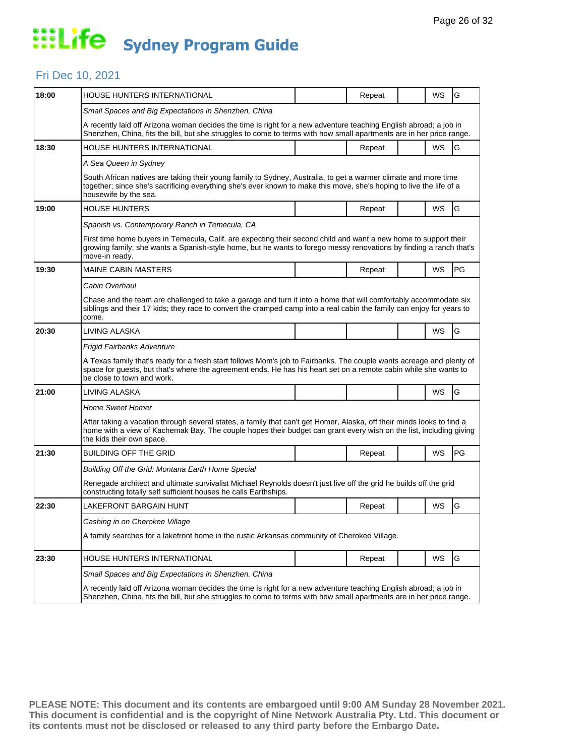### Fri Dec 10, 2021

| 18:00 | HOUSE HUNTERS INTERNATIONAL                                                                                                                                                                                                                                               |  | Repeat |  | WS | G  |  |  |  |
|-------|---------------------------------------------------------------------------------------------------------------------------------------------------------------------------------------------------------------------------------------------------------------------------|--|--------|--|----|----|--|--|--|
|       | Small Spaces and Big Expectations in Shenzhen, China                                                                                                                                                                                                                      |  |        |  |    |    |  |  |  |
|       | A recently laid off Arizona woman decides the time is right for a new adventure teaching English abroad; a job in<br>Shenzhen, China, fits the bill, but she struggles to come to terms with how small apartments are in her price range.                                 |  |        |  |    |    |  |  |  |
| 18:30 | <b>HOUSE HUNTERS INTERNATIONAL</b>                                                                                                                                                                                                                                        |  | Repeat |  | WS | G  |  |  |  |
|       | A Sea Queen in Sydney                                                                                                                                                                                                                                                     |  |        |  |    |    |  |  |  |
|       | South African natives are taking their young family to Sydney, Australia, to get a warmer climate and more time<br>together; since she's sacrificing everything she's ever known to make this move, she's hoping to live the life of a<br>housewife by the sea.           |  |        |  |    |    |  |  |  |
| 19:00 | <b>HOUSE HUNTERS</b>                                                                                                                                                                                                                                                      |  | Repeat |  | WS | G  |  |  |  |
|       | Spanish vs. Contemporary Ranch in Temecula, CA                                                                                                                                                                                                                            |  |        |  |    |    |  |  |  |
|       | First time home buyers in Temecula, Calif. are expecting their second child and want a new home to support their<br>growing family; she wants a Spanish-style home, but he wants to forego messy renovations by finding a ranch that's<br>move-in ready.                  |  |        |  |    |    |  |  |  |
| 19:30 | <b>MAINE CABIN MASTERS</b>                                                                                                                                                                                                                                                |  | Repeat |  | WS | PG |  |  |  |
|       | Cabin Overhaul                                                                                                                                                                                                                                                            |  |        |  |    |    |  |  |  |
|       | Chase and the team are challenged to take a garage and turn it into a home that will comfortably accommodate six<br>siblings and their 17 kids; they race to convert the cramped camp into a real cabin the family can enjoy for years to<br>come.                        |  |        |  |    |    |  |  |  |
| 20:30 | LIVING ALASKA                                                                                                                                                                                                                                                             |  |        |  | WS | G  |  |  |  |
|       | Frigid Fairbanks Adventure                                                                                                                                                                                                                                                |  |        |  |    |    |  |  |  |
|       | A Texas family that's ready for a fresh start follows Mom's job to Fairbanks. The couple wants acreage and plenty of<br>space for guests, but that's where the agreement ends. He has his heart set on a remote cabin while she wants to<br>be close to town and work.    |  |        |  |    |    |  |  |  |
| 21:00 | LIVING ALASKA                                                                                                                                                                                                                                                             |  |        |  | WS | G  |  |  |  |
|       | <b>Home Sweet Homer</b>                                                                                                                                                                                                                                                   |  |        |  |    |    |  |  |  |
|       | After taking a vacation through several states, a family that can't get Homer, Alaska, off their minds looks to find a<br>home with a view of Kachemak Bay. The couple hopes their budget can grant every wish on the list, including giving<br>the kids their own space. |  |        |  |    |    |  |  |  |
| 21:30 | <b>BUILDING OFF THE GRID</b>                                                                                                                                                                                                                                              |  | Repeat |  | WS | PG |  |  |  |
|       | Building Off the Grid: Montana Earth Home Special                                                                                                                                                                                                                         |  |        |  |    |    |  |  |  |
|       | Renegade architect and ultimate survivalist Michael Reynolds doesn't just live off the grid he builds off the grid<br>constructing totally self sufficient houses he calls Earthships.                                                                                    |  |        |  |    |    |  |  |  |
| 22:30 | LAKEFRONT BARGAIN HUNT                                                                                                                                                                                                                                                    |  | Repeat |  | WS | G  |  |  |  |
|       | Cashing in on Cherokee Village                                                                                                                                                                                                                                            |  |        |  |    |    |  |  |  |
|       | A family searches for a lakefront home in the rustic Arkansas community of Cherokee Village.                                                                                                                                                                              |  |        |  |    |    |  |  |  |
| 23:30 | HOUSE HUNTERS INTERNATIONAL                                                                                                                                                                                                                                               |  | Repeat |  | WS | G  |  |  |  |
|       | Small Spaces and Big Expectations in Shenzhen, China                                                                                                                                                                                                                      |  |        |  |    |    |  |  |  |
|       | A recently laid off Arizona woman decides the time is right for a new adventure teaching English abroad; a job in<br>Shenzhen, China, fits the bill, but she struggles to come to terms with how small apartments are in her price range.                                 |  |        |  |    |    |  |  |  |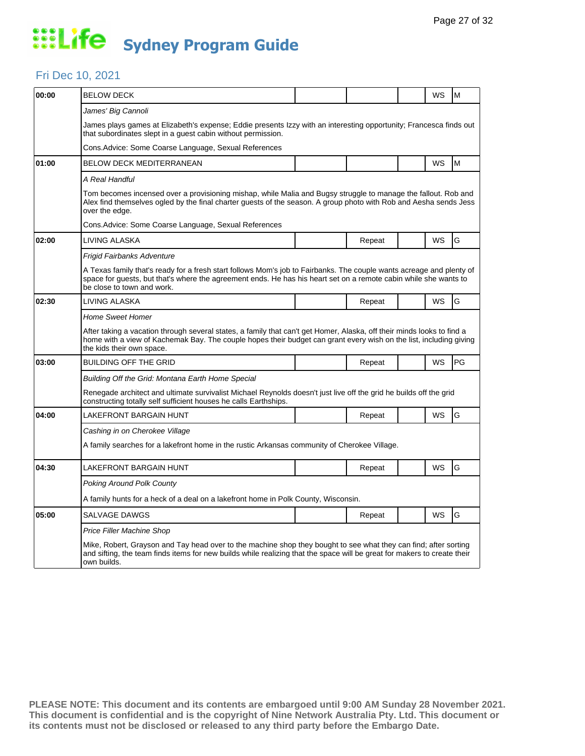### Fri Dec 10, 2021

| 00:00 | <b>BELOW DECK</b>                                                                                                                                                                                                                                                         |                                                                                                                                                                                                                                     |        |  | WS | M  |  |  |  |  |
|-------|---------------------------------------------------------------------------------------------------------------------------------------------------------------------------------------------------------------------------------------------------------------------------|-------------------------------------------------------------------------------------------------------------------------------------------------------------------------------------------------------------------------------------|--------|--|----|----|--|--|--|--|
|       | James' Big Cannoli                                                                                                                                                                                                                                                        |                                                                                                                                                                                                                                     |        |  |    |    |  |  |  |  |
|       | James plays games at Elizabeth's expense; Eddie presents Izzy with an interesting opportunity; Francesca finds out<br>that subordinates slept in a guest cabin without permission.                                                                                        |                                                                                                                                                                                                                                     |        |  |    |    |  |  |  |  |
|       | Cons. Advice: Some Coarse Language, Sexual References                                                                                                                                                                                                                     |                                                                                                                                                                                                                                     |        |  |    |    |  |  |  |  |
| 01:00 | BELOW DECK MEDITERRANEAN                                                                                                                                                                                                                                                  |                                                                                                                                                                                                                                     |        |  | WS | M  |  |  |  |  |
|       | A Real Handful                                                                                                                                                                                                                                                            |                                                                                                                                                                                                                                     |        |  |    |    |  |  |  |  |
|       | over the edge.                                                                                                                                                                                                                                                            | Tom becomes incensed over a provisioning mishap, while Malia and Bugsy struggle to manage the fallout. Rob and<br>Alex find themselves ogled by the final charter guests of the season. A group photo with Rob and Aesha sends Jess |        |  |    |    |  |  |  |  |
|       | Cons.Advice: Some Coarse Language, Sexual References                                                                                                                                                                                                                      |                                                                                                                                                                                                                                     |        |  |    |    |  |  |  |  |
| 02:00 | LIVING ALASKA                                                                                                                                                                                                                                                             |                                                                                                                                                                                                                                     | Repeat |  | WS | G  |  |  |  |  |
|       | Frigid Fairbanks Adventure                                                                                                                                                                                                                                                |                                                                                                                                                                                                                                     |        |  |    |    |  |  |  |  |
|       | A Texas family that's ready for a fresh start follows Mom's job to Fairbanks. The couple wants acreage and plenty of<br>space for guests, but that's where the agreement ends. He has his heart set on a remote cabin while she wants to<br>be close to town and work.    |                                                                                                                                                                                                                                     |        |  |    |    |  |  |  |  |
| 02:30 | LIVING ALASKA                                                                                                                                                                                                                                                             |                                                                                                                                                                                                                                     | Repeat |  | WS | G  |  |  |  |  |
|       | <b>Home Sweet Homer</b>                                                                                                                                                                                                                                                   |                                                                                                                                                                                                                                     |        |  |    |    |  |  |  |  |
|       | After taking a vacation through several states, a family that can't get Homer, Alaska, off their minds looks to find a<br>home with a view of Kachemak Bay. The couple hopes their budget can grant every wish on the list, including giving<br>the kids their own space. |                                                                                                                                                                                                                                     |        |  |    |    |  |  |  |  |
| 03:00 | BUILDING OFF THE GRID                                                                                                                                                                                                                                                     |                                                                                                                                                                                                                                     | Repeat |  | WS | PG |  |  |  |  |
|       | Building Off the Grid: Montana Earth Home Special                                                                                                                                                                                                                         |                                                                                                                                                                                                                                     |        |  |    |    |  |  |  |  |
|       | Renegade architect and ultimate survivalist Michael Reynolds doesn't just live off the grid he builds off the grid<br>constructing totally self sufficient houses he calls Earthships.                                                                                    |                                                                                                                                                                                                                                     |        |  |    |    |  |  |  |  |
| 04:00 | LAKEFRONT BARGAIN HUNT                                                                                                                                                                                                                                                    |                                                                                                                                                                                                                                     | Repeat |  | WS | G  |  |  |  |  |
|       | Cashing in on Cherokee Village                                                                                                                                                                                                                                            |                                                                                                                                                                                                                                     |        |  |    |    |  |  |  |  |
|       | A family searches for a lakefront home in the rustic Arkansas community of Cherokee Village.                                                                                                                                                                              |                                                                                                                                                                                                                                     |        |  |    |    |  |  |  |  |
| 04:30 | LAKEFRONT BARGAIN HUNT                                                                                                                                                                                                                                                    |                                                                                                                                                                                                                                     | Repeat |  | WS | G  |  |  |  |  |
|       | <b>Poking Around Polk County</b>                                                                                                                                                                                                                                          |                                                                                                                                                                                                                                     |        |  |    |    |  |  |  |  |
|       | A family hunts for a heck of a deal on a lakefront home in Polk County, Wisconsin.                                                                                                                                                                                        |                                                                                                                                                                                                                                     |        |  |    |    |  |  |  |  |
| 05:00 | <b>SALVAGE DAWGS</b>                                                                                                                                                                                                                                                      |                                                                                                                                                                                                                                     | Repeat |  | WS | G  |  |  |  |  |
|       | Price Filler Machine Shop                                                                                                                                                                                                                                                 |                                                                                                                                                                                                                                     |        |  |    |    |  |  |  |  |
|       | Mike, Robert, Grayson and Tay head over to the machine shop they bought to see what they can find; after sorting<br>and sifting, the team finds items for new builds while realizing that the space will be great for makers to create their<br>own builds.               |                                                                                                                                                                                                                                     |        |  |    |    |  |  |  |  |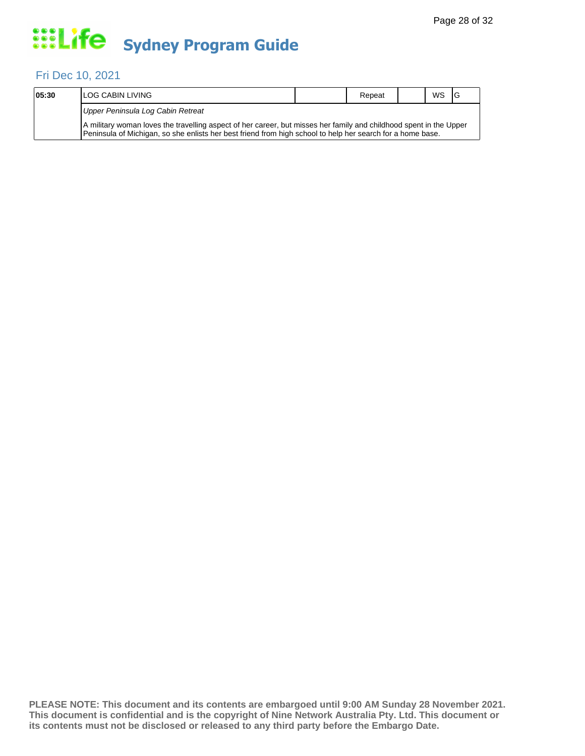## Fri Dec 10, 2021

| 05:30 | <b>ILOG CABIN LIVING</b>                                                                                                                                                                                                         | Repeat | <b>WS</b> | 1G |
|-------|----------------------------------------------------------------------------------------------------------------------------------------------------------------------------------------------------------------------------------|--------|-----------|----|
|       | Upper Peninsula Log Cabin Retreat                                                                                                                                                                                                |        |           |    |
|       | A military woman loves the travelling aspect of her career, but misses her family and childhood spent in the Upper<br>Peninsula of Michigan, so she enlists her best friend from high school to help her search for a home base. |        |           |    |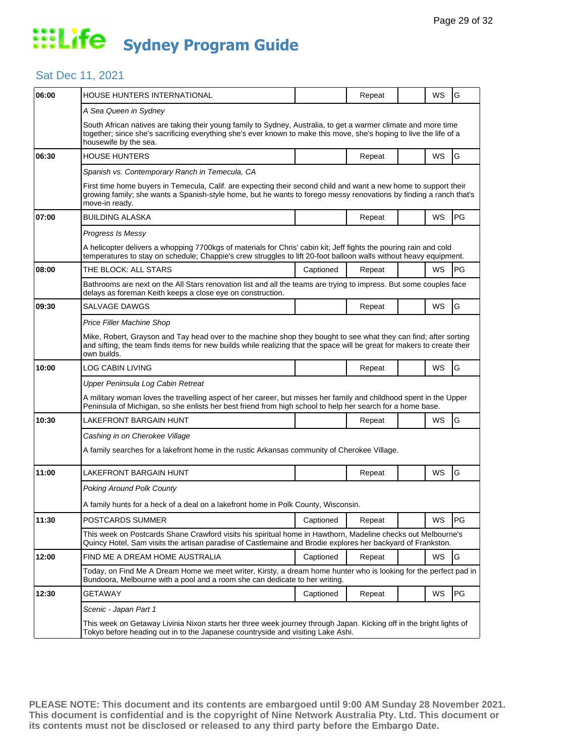## Sat Dec 11, 2021

| 06:00 | HOUSE HUNTERS INTERNATIONAL                                                                                                                                                                                                                                     |           | Repeat |  | WS | G         |  |  |  |
|-------|-----------------------------------------------------------------------------------------------------------------------------------------------------------------------------------------------------------------------------------------------------------------|-----------|--------|--|----|-----------|--|--|--|
|       | A Sea Queen in Sydney                                                                                                                                                                                                                                           |           |        |  |    |           |  |  |  |
|       | South African natives are taking their young family to Sydney, Australia, to get a warmer climate and more time<br>together; since she's sacrificing everything she's ever known to make this move, she's hoping to live the life of a<br>housewife by the sea. |           |        |  |    |           |  |  |  |
| 06:30 | <b>HOUSE HUNTERS</b>                                                                                                                                                                                                                                            |           | Repeat |  | WS | G         |  |  |  |
|       | Spanish vs. Contemporary Ranch in Temecula, CA                                                                                                                                                                                                                  |           |        |  |    |           |  |  |  |
|       | First time home buyers in Temecula, Calif. are expecting their second child and want a new home to support their<br>growing family; she wants a Spanish-style home, but he wants to forego messy renovations by finding a ranch that's<br>move-in ready.        |           |        |  |    |           |  |  |  |
| 07:00 | <b>BUILDING ALASKA</b>                                                                                                                                                                                                                                          |           | Repeat |  | WS | <b>PG</b> |  |  |  |
|       | Progress Is Messy                                                                                                                                                                                                                                               |           |        |  |    |           |  |  |  |
|       | A helicopter delivers a whopping 7700kgs of materials for Chris' cabin kit; Jeff fights the pouring rain and cold<br>temperatures to stay on schedule; Chappie's crew struggles to lift 20-foot balloon walls without heavy equipment.                          |           |        |  |    |           |  |  |  |
| 08:00 | THE BLOCK: ALL STARS                                                                                                                                                                                                                                            | Captioned | Repeat |  | WS | PG        |  |  |  |
|       | Bathrooms are next on the All Stars renovation list and all the teams are trying to impress. But some couples face<br>delays as foreman Keith keeps a close eye on construction.                                                                                |           |        |  |    |           |  |  |  |
| 09:30 | <b>SALVAGE DAWGS</b>                                                                                                                                                                                                                                            |           | Repeat |  | WS | G         |  |  |  |
|       | Price Filler Machine Shop                                                                                                                                                                                                                                       |           |        |  |    |           |  |  |  |
|       | Mike, Robert, Grayson and Tay head over to the machine shop they bought to see what they can find; after sorting<br>and sifting, the team finds items for new builds while realizing that the space will be great for makers to create their<br>own builds.     |           |        |  |    |           |  |  |  |
| 10:00 | LOG CABIN LIVING                                                                                                                                                                                                                                                |           | Repeat |  | WS | G         |  |  |  |
|       | Upper Peninsula Log Cabin Retreat                                                                                                                                                                                                                               |           |        |  |    |           |  |  |  |
|       | A military woman loves the travelling aspect of her career, but misses her family and childhood spent in the Upper<br>Peninsula of Michigan, so she enlists her best friend from high school to help her search for a home base.                                |           |        |  |    |           |  |  |  |
| 10:30 | LAKEFRONT BARGAIN HUNT                                                                                                                                                                                                                                          |           | Repeat |  | WS | G         |  |  |  |
|       | Cashing in on Cherokee Village                                                                                                                                                                                                                                  |           |        |  |    |           |  |  |  |
|       | A family searches for a lakefront home in the rustic Arkansas community of Cherokee Village.                                                                                                                                                                    |           |        |  |    |           |  |  |  |
| 11:00 | LAKEFRONT BARGAIN HUNT                                                                                                                                                                                                                                          |           | Repeat |  | WS | G         |  |  |  |
|       | <b>Poking Around Polk County</b>                                                                                                                                                                                                                                |           |        |  |    |           |  |  |  |
|       | A family hunts for a heck of a deal on a lakefront home in Polk County, Wisconsin.                                                                                                                                                                              |           |        |  |    |           |  |  |  |
| 11:30 | POSTCARDS SUMMER                                                                                                                                                                                                                                                | Captioned | Repeat |  | WS | PG        |  |  |  |
|       | This week on Postcards Shane Crawford visits his spiritual home in Hawthorn, Madeline checks out Melbourne's<br>Quincy Hotel, Sam visits the artisan paradise of Castlemaine and Brodie explores her backyard of Frankston.                                     |           |        |  |    |           |  |  |  |
| 12:00 | FIND ME A DREAM HOME AUSTRALIA                                                                                                                                                                                                                                  | Captioned | Repeat |  | WS | G         |  |  |  |
|       | Today, on Find Me A Dream Home we meet writer, Kirsty, a dream home hunter who is looking for the perfect pad in<br>Bundoora, Melbourne with a pool and a room she can dedicate to her writing.                                                                 |           |        |  |    |           |  |  |  |
| 12:30 | GETAWAY                                                                                                                                                                                                                                                         | Captioned | Repeat |  | WS | PG        |  |  |  |
|       | Scenic - Japan Part 1                                                                                                                                                                                                                                           |           |        |  |    |           |  |  |  |
|       | This week on Getaway Livinia Nixon starts her three week journey through Japan. Kicking off in the bright lights of<br>Tokyo before heading out in to the Japanese countryside and visiting Lake Ashi.                                                          |           |        |  |    |           |  |  |  |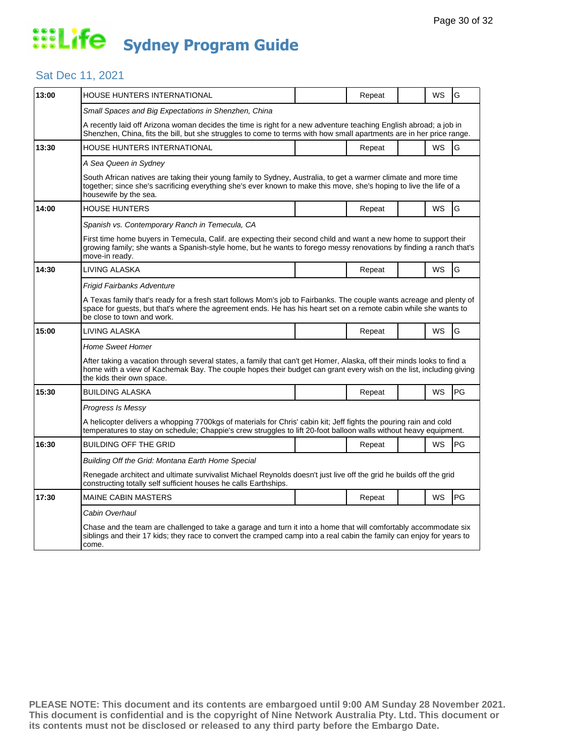### Sat Dec 11, 2021

| 13:00 | HOUSE HUNTERS INTERNATIONAL                                                                                                                                                                                                                                               |  | Repeat |  | WS | G  |  |  |  |
|-------|---------------------------------------------------------------------------------------------------------------------------------------------------------------------------------------------------------------------------------------------------------------------------|--|--------|--|----|----|--|--|--|
|       | Small Spaces and Big Expectations in Shenzhen, China                                                                                                                                                                                                                      |  |        |  |    |    |  |  |  |
|       | A recently laid off Arizona woman decides the time is right for a new adventure teaching English abroad; a job in<br>Shenzhen, China, fits the bill, but she struggles to come to terms with how small apartments are in her price range.                                 |  |        |  |    |    |  |  |  |
| 13:30 | HOUSE HUNTERS INTERNATIONAL                                                                                                                                                                                                                                               |  | Repeat |  | WS | G  |  |  |  |
|       | A Sea Queen in Sydney                                                                                                                                                                                                                                                     |  |        |  |    |    |  |  |  |
|       | South African natives are taking their young family to Sydney, Australia, to get a warmer climate and more time<br>together; since she's sacrificing everything she's ever known to make this move, she's hoping to live the life of a<br>housewife by the sea.           |  |        |  |    |    |  |  |  |
| 14:00 | <b>HOUSE HUNTERS</b>                                                                                                                                                                                                                                                      |  | Repeat |  | WS | G  |  |  |  |
|       | Spanish vs. Contemporary Ranch in Temecula, CA                                                                                                                                                                                                                            |  |        |  |    |    |  |  |  |
|       | First time home buyers in Temecula, Calif. are expecting their second child and want a new home to support their<br>growing family; she wants a Spanish-style home, but he wants to forego messy renovations by finding a ranch that's<br>move-in ready.                  |  |        |  |    |    |  |  |  |
| 14:30 | LIVING ALASKA                                                                                                                                                                                                                                                             |  | Repeat |  | WS | G  |  |  |  |
|       | Frigid Fairbanks Adventure                                                                                                                                                                                                                                                |  |        |  |    |    |  |  |  |
|       | A Texas family that's ready for a fresh start follows Mom's job to Fairbanks. The couple wants acreage and plenty of<br>space for guests, but that's where the agreement ends. He has his heart set on a remote cabin while she wants to<br>be close to town and work.    |  |        |  |    |    |  |  |  |
| 15:00 | LIVING ALASKA                                                                                                                                                                                                                                                             |  | Repeat |  | WS | G  |  |  |  |
|       | <b>Home Sweet Homer</b>                                                                                                                                                                                                                                                   |  |        |  |    |    |  |  |  |
|       | After taking a vacation through several states, a family that can't get Homer, Alaska, off their minds looks to find a<br>home with a view of Kachemak Bay. The couple hopes their budget can grant every wish on the list, including giving<br>the kids their own space. |  |        |  |    |    |  |  |  |
| 15:30 | <b>BUILDING ALASKA</b>                                                                                                                                                                                                                                                    |  | Repeat |  | WS | PG |  |  |  |
|       | Progress Is Messy                                                                                                                                                                                                                                                         |  |        |  |    |    |  |  |  |
|       | A helicopter delivers a whopping 7700kgs of materials for Chris' cabin kit; Jeff fights the pouring rain and cold<br>temperatures to stay on schedule; Chappie's crew struggles to lift 20-foot balloon walls without heavy equipment.                                    |  |        |  |    |    |  |  |  |
| 16:30 | <b>BUILDING OFF THE GRID</b>                                                                                                                                                                                                                                              |  | Repeat |  | WS | PG |  |  |  |
|       | Building Off the Grid: Montana Earth Home Special                                                                                                                                                                                                                         |  |        |  |    |    |  |  |  |
|       | Renegade architect and ultimate survivalist Michael Reynolds doesn't just live off the grid he builds off the grid<br>constructing totally self sufficient houses he calls Earthships.                                                                                    |  |        |  |    |    |  |  |  |
| 17:30 | <b>MAINE CABIN MASTERS</b>                                                                                                                                                                                                                                                |  | Repeat |  | WS | PG |  |  |  |
|       | Cabin Overhaul                                                                                                                                                                                                                                                            |  |        |  |    |    |  |  |  |
|       | Chase and the team are challenged to take a garage and turn it into a home that will comfortably accommodate six<br>siblings and their 17 kids; they race to convert the cramped camp into a real cabin the family can enjoy for years to<br>come.                        |  |        |  |    |    |  |  |  |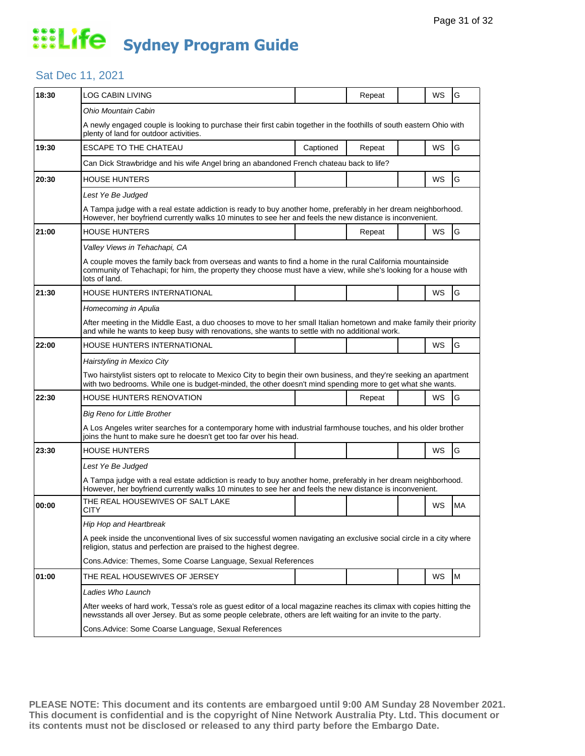### Sat Dec 11, 2021

| 18:30 | LOG CABIN LIVING                                                                                                                                                                                                                                |                                                               | Repeat |  | WS        | G  |  |  |  |
|-------|-------------------------------------------------------------------------------------------------------------------------------------------------------------------------------------------------------------------------------------------------|---------------------------------------------------------------|--------|--|-----------|----|--|--|--|
|       | Ohio Mountain Cabin                                                                                                                                                                                                                             |                                                               |        |  |           |    |  |  |  |
|       | A newly engaged couple is looking to purchase their first cabin together in the foothills of south eastern Ohio with<br>plenty of land for outdoor activities.                                                                                  |                                                               |        |  |           |    |  |  |  |
| 19:30 | <b>ESCAPE TO THE CHATEAU</b>                                                                                                                                                                                                                    | Captioned                                                     | Repeat |  | WS        | G  |  |  |  |
|       | Can Dick Strawbridge and his wife Angel bring an abandoned French chateau back to life?                                                                                                                                                         |                                                               |        |  |           |    |  |  |  |
| 20:30 | <b>HOUSE HUNTERS</b>                                                                                                                                                                                                                            |                                                               |        |  | <b>WS</b> | G  |  |  |  |
|       | Lest Ye Be Judged                                                                                                                                                                                                                               |                                                               |        |  |           |    |  |  |  |
|       | A Tampa judge with a real estate addiction is ready to buy another home, preferably in her dream neighborhood.<br>However, her boyfriend currently walks 10 minutes to see her and feels the new distance is inconvenient.                      |                                                               |        |  |           |    |  |  |  |
| 21:00 | <b>HOUSE HUNTERS</b>                                                                                                                                                                                                                            |                                                               | Repeat |  | WS        | G  |  |  |  |
|       | Valley Views in Tehachapi, CA                                                                                                                                                                                                                   |                                                               |        |  |           |    |  |  |  |
|       | A couple moves the family back from overseas and wants to find a home in the rural California mountainside<br>community of Tehachapi; for him, the property they choose must have a view, while she's looking for a house with<br>lots of land. |                                                               |        |  |           |    |  |  |  |
| 21:30 | HOUSE HUNTERS INTERNATIONAL                                                                                                                                                                                                                     |                                                               |        |  | WS        | G  |  |  |  |
|       | Homecoming in Apulia                                                                                                                                                                                                                            |                                                               |        |  |           |    |  |  |  |
|       | After meeting in the Middle East, a duo chooses to move to her small Italian hometown and make family their priority<br>and while he wants to keep busy with renovations, she wants to settle with no additional work.                          |                                                               |        |  |           |    |  |  |  |
| 22:00 | HOUSE HUNTERS INTERNATIONAL                                                                                                                                                                                                                     |                                                               |        |  | <b>WS</b> | G  |  |  |  |
|       | Hairstyling in Mexico City                                                                                                                                                                                                                      |                                                               |        |  |           |    |  |  |  |
|       | Two hairstylist sisters opt to relocate to Mexico City to begin their own business, and they're seeking an apartment<br>with two bedrooms. While one is budget-minded, the other doesn't mind spending more to get what she wants.              |                                                               |        |  |           |    |  |  |  |
| 22:30 | HOUSE HUNTERS RENOVATION                                                                                                                                                                                                                        |                                                               | Repeat |  | WS        | G  |  |  |  |
|       | <b>Big Reno for Little Brother</b>                                                                                                                                                                                                              |                                                               |        |  |           |    |  |  |  |
|       | A Los Angeles writer searches for a contemporary home with industrial farmhouse touches, and his older brother<br>joins the hunt to make sure he doesn't get too far over his head.                                                             |                                                               |        |  |           |    |  |  |  |
| 23:30 | HOUSE HUNTERS                                                                                                                                                                                                                                   |                                                               |        |  | WS        | G  |  |  |  |
|       | Lest Ye Be Judged                                                                                                                                                                                                                               |                                                               |        |  |           |    |  |  |  |
|       | A Tampa judge with a real estate addiction is ready to buy another home, preferably in her dream neighborhood.<br>However, her boyfriend currently walks 10 minutes to see her and feels the new distance is inconvenient.                      |                                                               |        |  |           |    |  |  |  |
| 00:00 | THE REAL HOUSEWIVES OF SALT LAKE<br>CITY                                                                                                                                                                                                        |                                                               |        |  | WS        | MA |  |  |  |
|       | Hip Hop and Heartbreak                                                                                                                                                                                                                          |                                                               |        |  |           |    |  |  |  |
|       | A peek inside the unconventional lives of six successful women navigating an exclusive social circle in a city where<br>religion, status and perfection are praised to the highest degree.                                                      |                                                               |        |  |           |    |  |  |  |
|       |                                                                                                                                                                                                                                                 | Cons. Advice: Themes, Some Coarse Language, Sexual References |        |  |           |    |  |  |  |
| 01:00 | THE REAL HOUSEWIVES OF JERSEY                                                                                                                                                                                                                   |                                                               |        |  | WS        | M  |  |  |  |
|       | Ladies Who Launch                                                                                                                                                                                                                               |                                                               |        |  |           |    |  |  |  |
|       | After weeks of hard work, Tessa's role as guest editor of a local magazine reaches its climax with copies hitting the<br>newsstands all over Jersey. But as some people celebrate, others are left waiting for an invite to the party.          |                                                               |        |  |           |    |  |  |  |
|       | Cons. Advice: Some Coarse Language, Sexual References                                                                                                                                                                                           |                                                               |        |  |           |    |  |  |  |